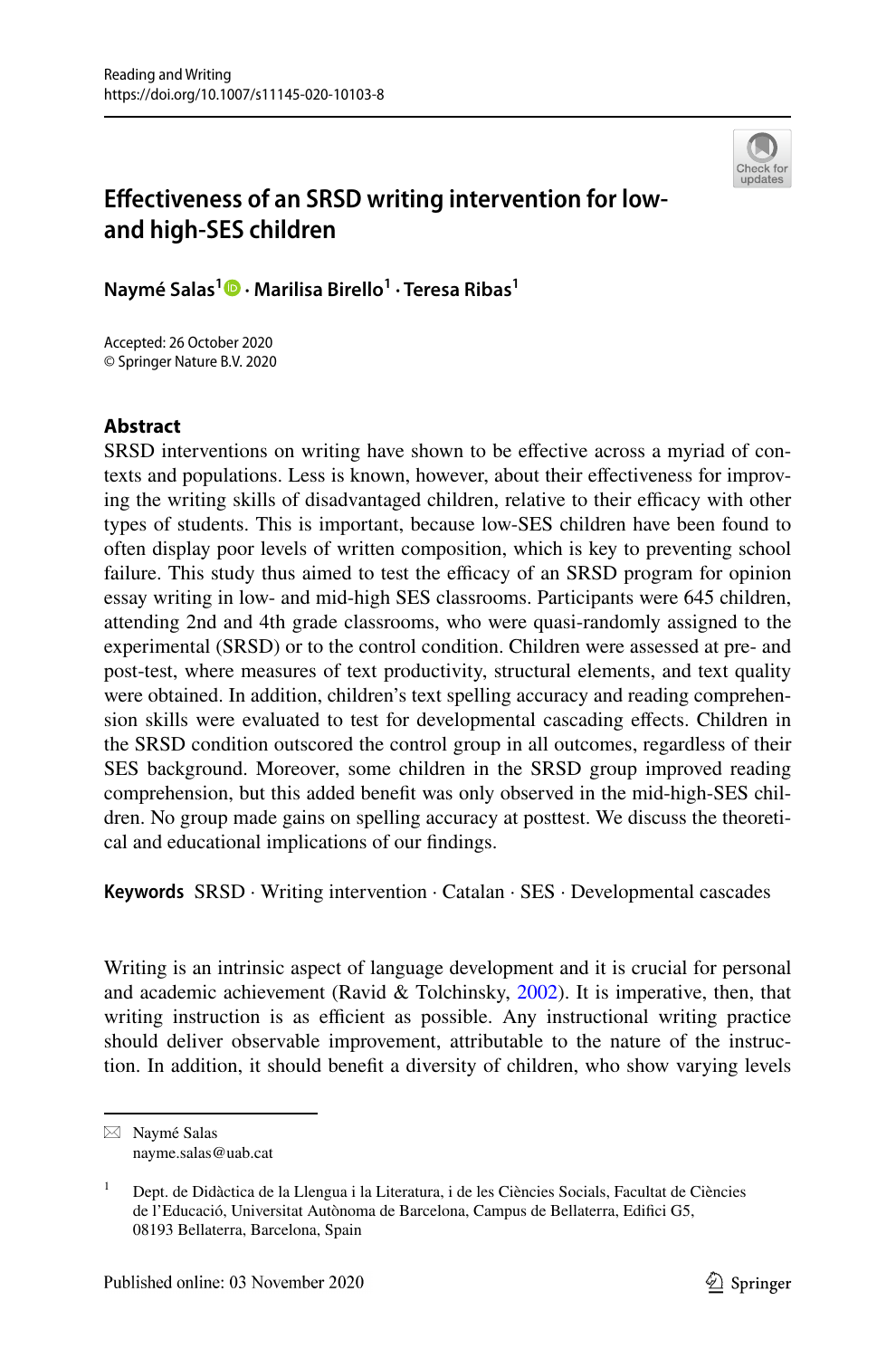

# **Efectiveness of an SRSD writing intervention for low‑ and high‑SES children**

**Naymé Salas1 · Marilisa Birello1 · Teresa Ribas1**

Accepted: 26 October 2020 © Springer Nature B.V. 2020

# **Abstract**

SRSD interventions on writing have shown to be efective across a myriad of contexts and populations. Less is known, however, about their efectiveness for improving the writing skills of disadvantaged children, relative to their efficacy with other types of students. This is important, because low-SES children have been found to often display poor levels of written composition, which is key to preventing school failure. This study thus aimed to test the efficacy of an SRSD program for opinion essay writing in low- and mid-high SES classrooms. Participants were 645 children, attending 2nd and 4th grade classrooms, who were quasi-randomly assigned to the experimental (SRSD) or to the control condition. Children were assessed at pre- and post-test, where measures of text productivity, structural elements, and text quality were obtained. In addition, children's text spelling accuracy and reading comprehension skills were evaluated to test for developmental cascading effects. Children in the SRSD condition outscored the control group in all outcomes, regardless of their SES background. Moreover, some children in the SRSD group improved reading comprehension, but this added beneft was only observed in the mid-high-SES children. No group made gains on spelling accuracy at posttest. We discuss the theoretical and educational implications of our fndings.

**Keywords** SRSD · Writing intervention · Catalan · SES · Developmental cascades

Writing is an intrinsic aspect of language development and it is crucial for personal and academic achievement (Ravid & Tolchinsky,  $2002$ ). It is imperative, then, that writing instruction is as efficient as possible. Any instructional writing practice should deliver observable improvement, attributable to the nature of the instruction. In addition, it should beneft a diversity of children, who show varying levels

 $\boxtimes$  Naymé Salas nayme.salas@uab.cat

<sup>&</sup>lt;sup>1</sup> Dept. de Didàctica de la Llengua i la Literatura, i de les Ciències Socials, Facultat de Ciències de l'Educació, Universitat Autònoma de Barcelona, Campus de Bellaterra, Edifci G5, 08193 Bellaterra, Barcelona, Spain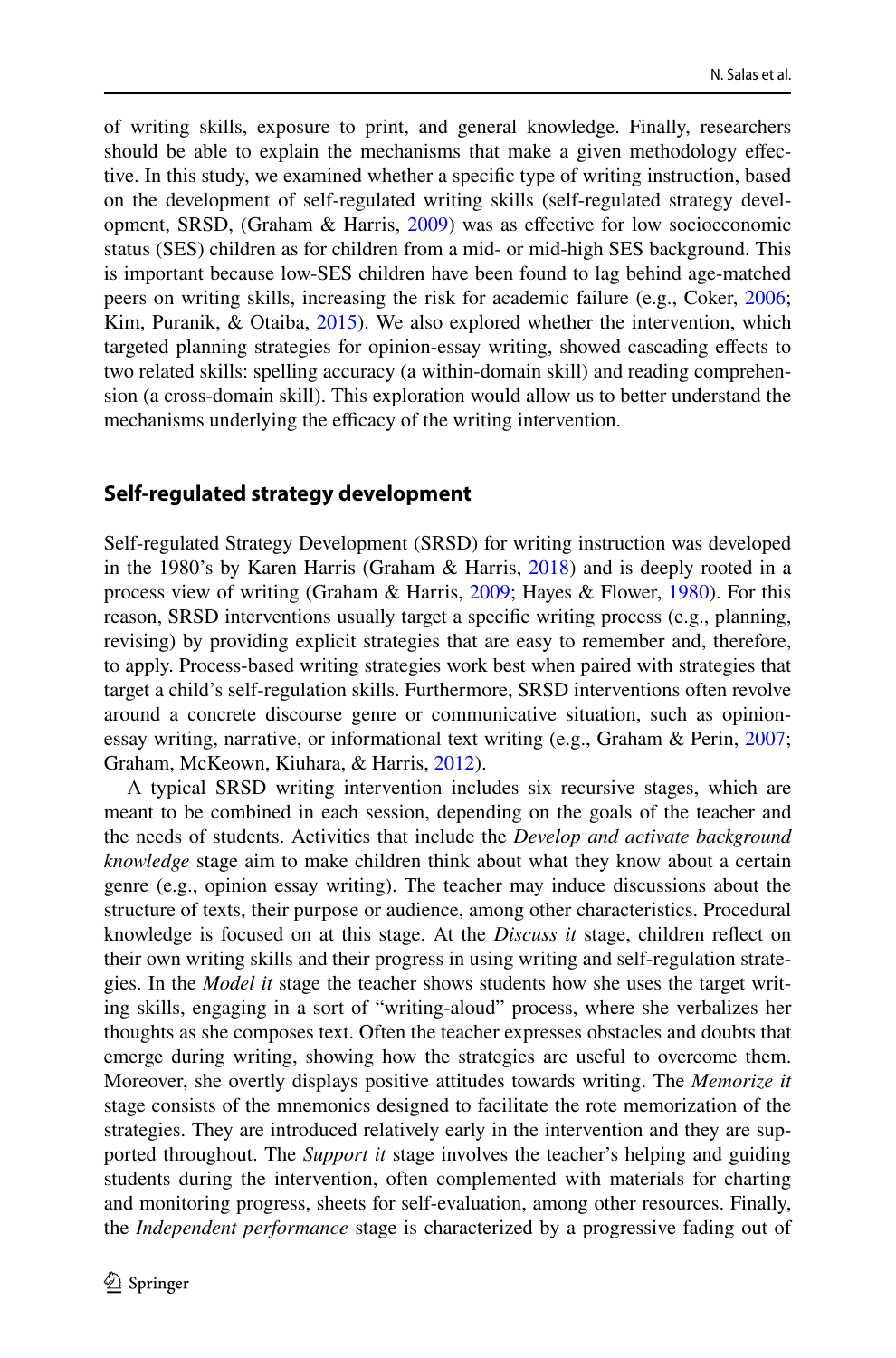of writing skills, exposure to print, and general knowledge. Finally, researchers should be able to explain the mechanisms that make a given methodology efective. In this study, we examined whether a specifc type of writing instruction, based on the development of self-regulated writing skills (self-regulated strategy development, SRSD, (Graham & Harris, [2009\)](#page-25-0) was as efective for low socioeconomic status (SES) children as for children from a mid- or mid-high SES background. This is important because low-SES children have been found to lag behind age-matched peers on writing skills, increasing the risk for academic failure (e.g., Coker, [2006;](#page-25-1) Kim, Puranik, & Otaiba, [2015](#page-26-0)). We also explored whether the intervention, which targeted planning strategies for opinion-essay writing, showed cascading efects to two related skills: spelling accuracy (a within-domain skill) and reading comprehension (a cross-domain skill). This exploration would allow us to better understand the mechanisms underlying the efficacy of the writing intervention.

# **Self‑regulated strategy development**

Self-regulated Strategy Development (SRSD) for writing instruction was developed in the 1980's by Karen Harris (Graham & Harris, [2018](#page-25-2)) and is deeply rooted in a process view of writing (Graham & Harris, [2009](#page-25-0); Hayes & Flower, [1980\)](#page-26-1). For this reason, SRSD interventions usually target a specifc writing process (e.g., planning, revising) by providing explicit strategies that are easy to remember and, therefore, to apply. Process-based writing strategies work best when paired with strategies that target a child's self-regulation skills. Furthermore, SRSD interventions often revolve around a concrete discourse genre or communicative situation, such as opinionessay writing, narrative, or informational text writing (e.g., Graham & Perin, [2007;](#page-25-3) Graham, McKeown, Kiuhara, & Harris, [2012\)](#page-25-4).

A typical SRSD writing intervention includes six recursive stages, which are meant to be combined in each session, depending on the goals of the teacher and the needs of students. Activities that include the *Develop and activate background knowledge* stage aim to make children think about what they know about a certain genre (e.g., opinion essay writing). The teacher may induce discussions about the structure of texts, their purpose or audience, among other characteristics. Procedural knowledge is focused on at this stage. At the *Discuss it* stage, children refect on their own writing skills and their progress in using writing and self-regulation strategies. In the *Model it* stage the teacher shows students how she uses the target writing skills, engaging in a sort of "writing-aloud" process, where she verbalizes her thoughts as she composes text. Often the teacher expresses obstacles and doubts that emerge during writing, showing how the strategies are useful to overcome them. Moreover, she overtly displays positive attitudes towards writing. The *Memorize it* stage consists of the mnemonics designed to facilitate the rote memorization of the strategies. They are introduced relatively early in the intervention and they are supported throughout. The *Support it* stage involves the teacher's helping and guiding students during the intervention, often complemented with materials for charting and monitoring progress, sheets for self-evaluation, among other resources. Finally, the *Independent performance* stage is characterized by a progressive fading out of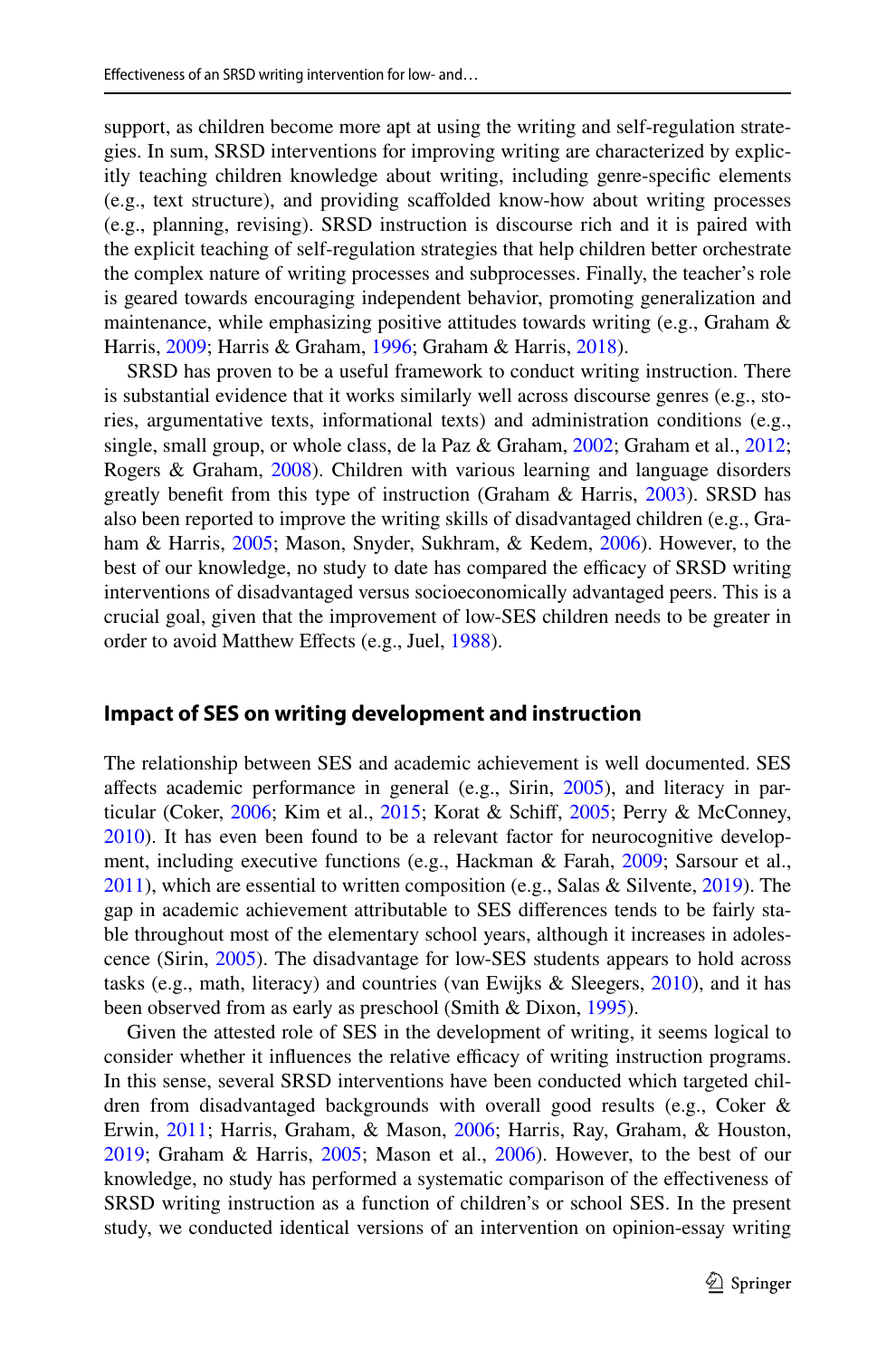support, as children become more apt at using the writing and self-regulation strategies. In sum, SRSD interventions for improving writing are characterized by explicitly teaching children knowledge about writing, including genre-specifc elements (e.g., text structure), and providing scafolded know-how about writing processes (e.g., planning, revising). SRSD instruction is discourse rich and it is paired with the explicit teaching of self-regulation strategies that help children better orchestrate the complex nature of writing processes and subprocesses. Finally, the teacher's role is geared towards encouraging independent behavior, promoting generalization and maintenance, while emphasizing positive attitudes towards writing (e.g., Graham & Harris, [2009](#page-25-0); Harris & Graham, [1996](#page-25-5); Graham & Harris, [2018\)](#page-25-2).

SRSD has proven to be a useful framework to conduct writing instruction. There is substantial evidence that it works similarly well across discourse genres (e.g., stories, argumentative texts, informational texts) and administration conditions (e.g., single, small group, or whole class, de la Paz & Graham, [2002](#page-25-6); Graham et al., [2012;](#page-25-4) Rogers & Graham, [2008](#page-27-1)). Children with various learning and language disorders greatly beneft from this type of instruction (Graham & Harris, [2003\)](#page-25-7). SRSD has also been reported to improve the writing skills of disadvantaged children (e.g., Gra-ham & Harris, [2005;](#page-25-8) Mason, Snyder, Sukhram, & Kedem, [2006](#page-26-2)). However, to the best of our knowledge, no study to date has compared the efficacy of SRSD writing interventions of disadvantaged versus socioeconomically advantaged peers. This is a crucial goal, given that the improvement of low-SES children needs to be greater in order to avoid Matthew Efects (e.g., Juel, [1988\)](#page-26-3).

### **Impact of SES on writing development and instruction**

The relationship between SES and academic achievement is well documented. SES affects academic performance in general (e.g., Sirin, [2005](#page-27-2)), and literacy in par-ticular (Coker, [2006](#page-25-1); Kim et al., [2015;](#page-26-0) Korat & Schiff, [2005](#page-26-4); Perry & McConney, [2010](#page-26-5)). It has even been found to be a relevant factor for neurocognitive development, including executive functions (e.g., Hackman & Farah, [2009](#page-25-9); Sarsour et al., [2011](#page-27-3)), which are essential to written composition (e.g., Salas & Silvente, [2019\)](#page-27-4). The gap in academic achievement attributable to SES diferences tends to be fairly stable throughout most of the elementary school years, although it increases in adolescence (Sirin, [2005\)](#page-27-2). The disadvantage for low-SES students appears to hold across tasks (e.g., math, literacy) and countries (van Ewijks & Sleegers, [2010\)](#page-27-5), and it has been observed from as early as preschool (Smith & Dixon, [1995\)](#page-27-6).

Given the attested role of SES in the development of writing, it seems logical to consider whether it influences the relative efficacy of writing instruction programs. In this sense, several SRSD interventions have been conducted which targeted children from disadvantaged backgrounds with overall good results (e.g., Coker & Erwin, [2011;](#page-25-10) Harris, Graham, & Mason, [2006;](#page-26-6) Harris, Ray, Graham, & Houston, [2019](#page-26-7); Graham & Harris, [2005;](#page-25-8) Mason et al., [2006\)](#page-26-2). However, to the best of our knowledge, no study has performed a systematic comparison of the efectiveness of SRSD writing instruction as a function of children's or school SES. In the present study, we conducted identical versions of an intervention on opinion-essay writing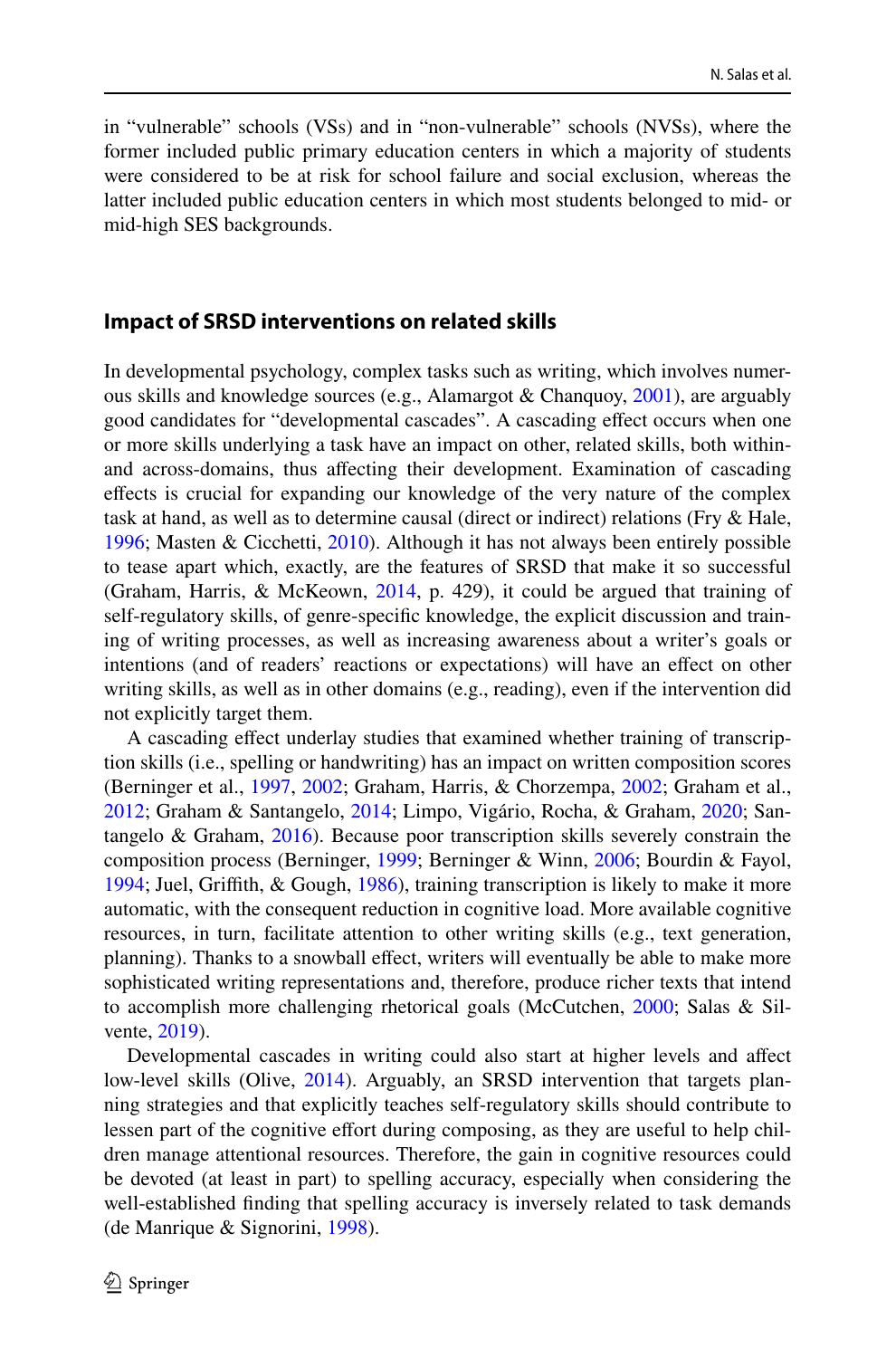in "vulnerable" schools (VSs) and in "non-vulnerable" schools (NVSs), where the former included public primary education centers in which a majority of students were considered to be at risk for school failure and social exclusion, whereas the latter included public education centers in which most students belonged to mid- or mid-high SES backgrounds.

### **Impact of SRSD interventions on related skills**

In developmental psychology, complex tasks such as writing, which involves numerous skills and knowledge sources (e.g., Alamargot & Chanquoy, [2001](#page-24-0)), are arguably good candidates for "developmental cascades". A cascading efect occurs when one or more skills underlying a task have an impact on other, related skills, both withinand across-domains, thus afecting their development. Examination of cascading efects is crucial for expanding our knowledge of the very nature of the complex task at hand, as well as to determine causal (direct or indirect) relations (Fry & Hale, [1996](#page-25-11); Masten & Cicchetti, [2010\)](#page-26-8). Although it has not always been entirely possible to tease apart which, exactly, are the features of SRSD that make it so successful (Graham, Harris, & McKeown, [2014](#page-25-12), p. 429), it could be argued that training of self-regulatory skills, of genre-specifc knowledge, the explicit discussion and training of writing processes, as well as increasing awareness about a writer's goals or intentions (and of readers' reactions or expectations) will have an efect on other writing skills, as well as in other domains (e.g., reading), even if the intervention did not explicitly target them.

A cascading efect underlay studies that examined whether training of transcription skills (i.e., spelling or handwriting) has an impact on written composition scores (Berninger et al., [1997,](#page-24-1) [2002](#page-24-2); Graham, Harris, & Chorzempa, [2002](#page-25-13); Graham et al., [2012](#page-25-4); Graham & Santangelo, [2014](#page-25-14); Limpo, Vigário, Rocha, & Graham, [2020](#page-26-9); Santangelo & Graham, [2016](#page-27-7)). Because poor transcription skills severely constrain the composition process (Berninger, [1999;](#page-24-3) Berninger & Winn, [2006;](#page-24-4) Bourdin & Fayol, [1994](#page-24-5); Juel, Grifth, & Gough, [1986](#page-26-10)), training transcription is likely to make it more automatic, with the consequent reduction in cognitive load. More available cognitive resources, in turn, facilitate attention to other writing skills (e.g., text generation, planning). Thanks to a snowball effect, writers will eventually be able to make more sophisticated writing representations and, therefore, produce richer texts that intend to accomplish more challenging rhetorical goals (McCutchen, [2000;](#page-26-11) Salas & Silvente, [2019](#page-27-4)).

Developmental cascades in writing could also start at higher levels and afect low-level skills (Olive, [2014](#page-26-12)). Arguably, an SRSD intervention that targets planning strategies and that explicitly teaches self-regulatory skills should contribute to lessen part of the cognitive effort during composing, as they are useful to help children manage attentional resources. Therefore, the gain in cognitive resources could be devoted (at least in part) to spelling accuracy, especially when considering the well-established fnding that spelling accuracy is inversely related to task demands (de Manrique & Signorini, [1998](#page-25-15)).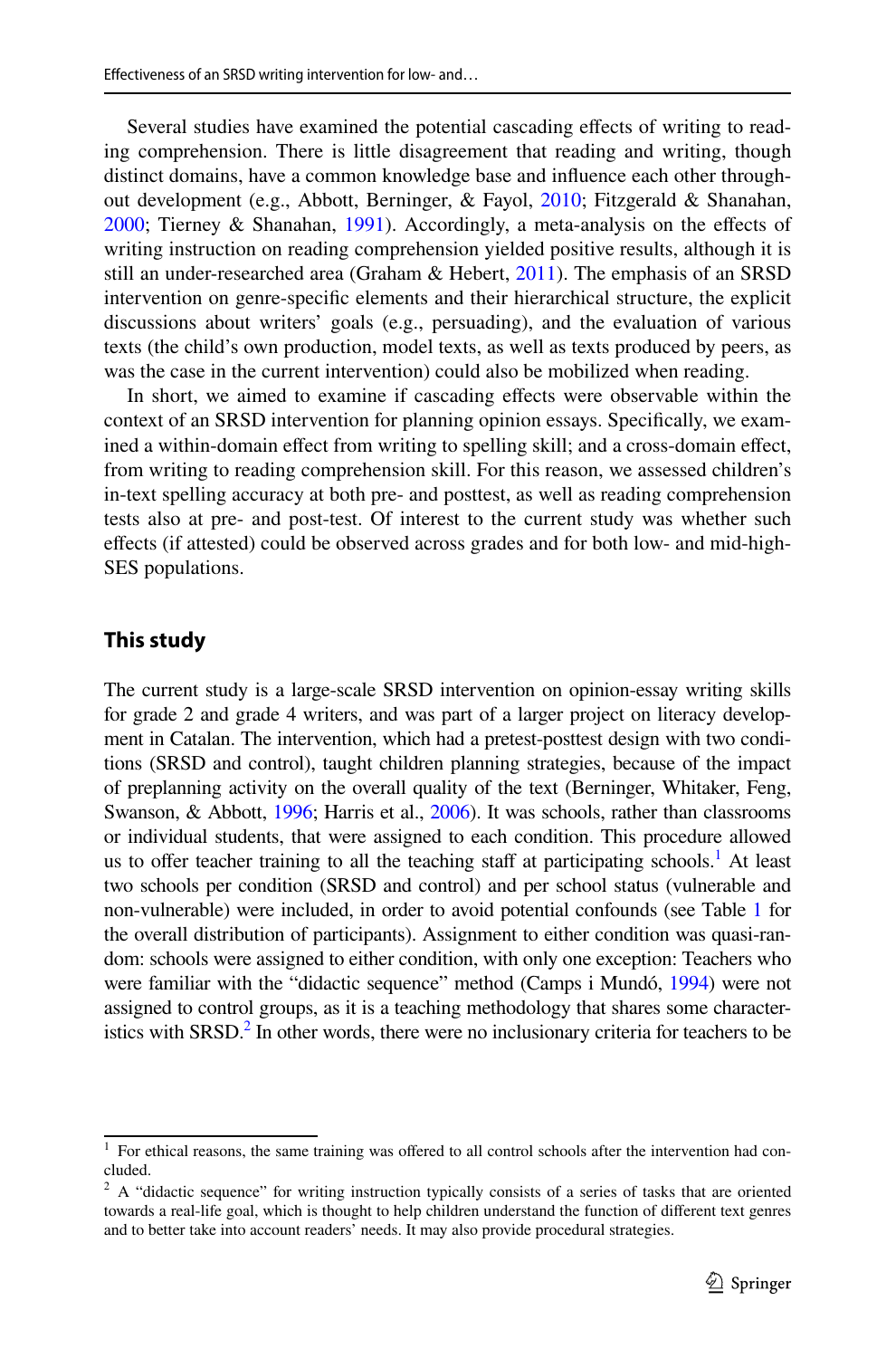Several studies have examined the potential cascading effects of writing to reading comprehension. There is little disagreement that reading and writing, though distinct domains, have a common knowledge base and infuence each other throughout development (e.g., Abbott, Berninger, & Fayol, [2010](#page-24-6); Fitzgerald & Shanahan, [2000](#page-25-16); Tierney & Shanahan, [1991\)](#page-27-8). Accordingly, a meta-analysis on the efects of writing instruction on reading comprehension yielded positive results, although it is still an under-researched area (Graham  $\&$  Hebert, [2011](#page-25-17)). The emphasis of an SRSD intervention on genre-specifc elements and their hierarchical structure, the explicit discussions about writers' goals (e.g., persuading), and the evaluation of various texts (the child's own production, model texts, as well as texts produced by peers, as was the case in the current intervention) could also be mobilized when reading.

In short, we aimed to examine if cascading efects were observable within the context of an SRSD intervention for planning opinion essays. Specifcally, we examined a within-domain efect from writing to spelling skill; and a cross-domain efect, from writing to reading comprehension skill. For this reason, we assessed children's in-text spelling accuracy at both pre- and posttest, as well as reading comprehension tests also at pre- and post-test. Of interest to the current study was whether such efects (if attested) could be observed across grades and for both low- and mid-high-SES populations.

### **This study**

The current study is a large-scale SRSD intervention on opinion-essay writing skills for grade 2 and grade 4 writers, and was part of a larger project on literacy development in Catalan. The intervention, which had a pretest-posttest design with two conditions (SRSD and control), taught children planning strategies, because of the impact of preplanning activity on the overall quality of the text (Berninger, Whitaker, Feng, Swanson, & Abbott, [1996](#page-24-7); Harris et al., [2006\)](#page-26-6). It was schools, rather than classrooms or individual students, that were assigned to each condition. This procedure allowed us to offer teacher training to all the teaching staff at participating schools.<sup>[1](#page-4-0)</sup> At least two schools per condition (SRSD and control) and per school status (vulnerable and non-vulnerable) were included, in order to avoid potential confounds (see Table [1](#page-5-0) for the overall distribution of participants). Assignment to either condition was quasi-random: schools were assigned to either condition, with only one exception: Teachers who were familiar with the "didactic sequence" method (Camps i Mundó, [1994\)](#page-24-8) were not assigned to control groups, as it is a teaching methodology that shares some character-istics with SRSD.<sup>[2](#page-4-1)</sup> In other words, there were no inclusionary criteria for teachers to be

<span id="page-4-0"></span><sup>&</sup>lt;sup>1</sup> For ethical reasons, the same training was offered to all control schools after the intervention had concluded.

<span id="page-4-1"></span><sup>&</sup>lt;sup>2</sup> A "didactic sequence" for writing instruction typically consists of a series of tasks that are oriented towards a real-life goal, which is thought to help children understand the function of diferent text genres and to better take into account readers' needs. It may also provide procedural strategies.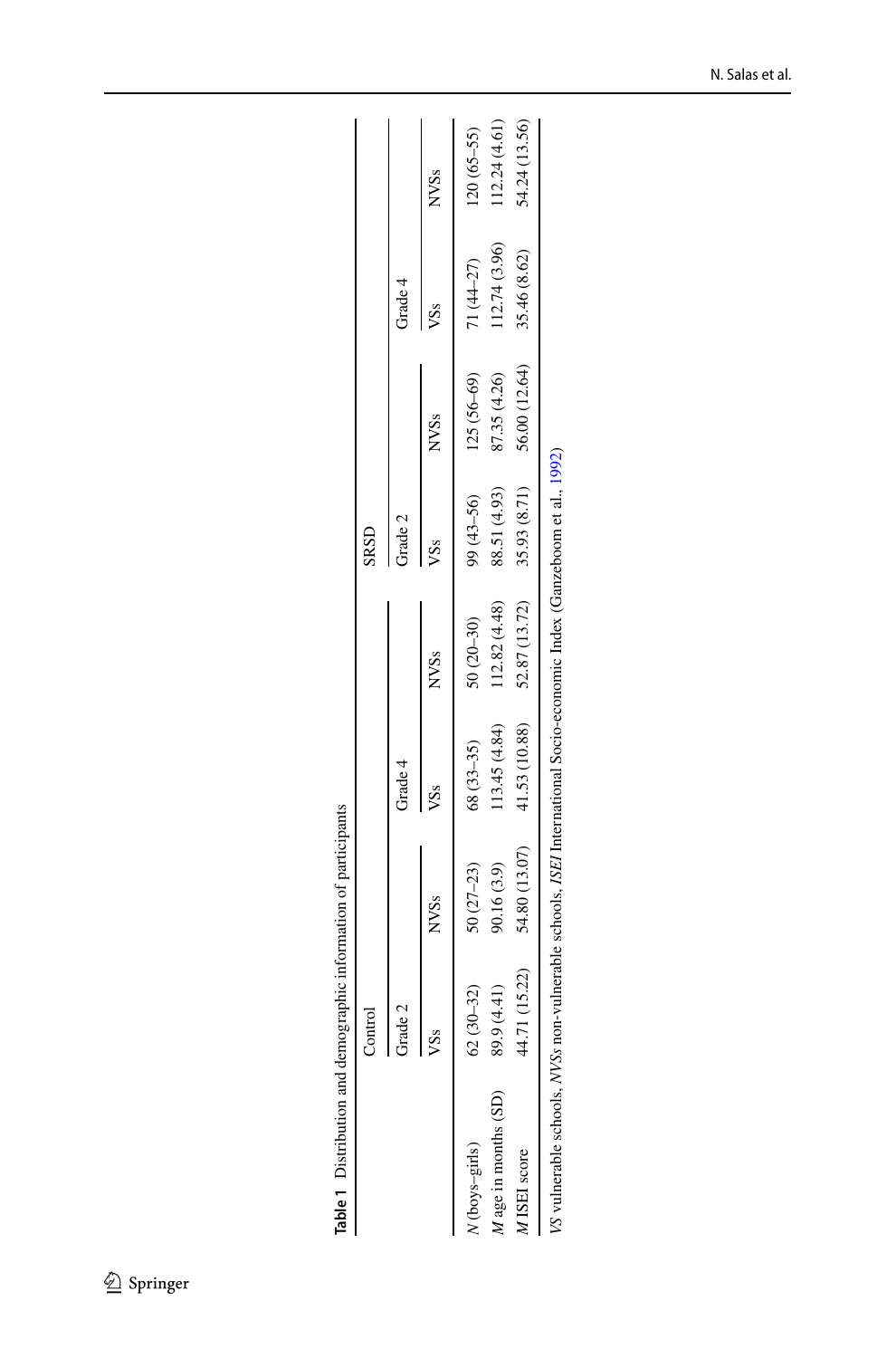|                                                                                                                      | Control        |               |               |               | <b>SRSD</b>  |                                          |               |               |
|----------------------------------------------------------------------------------------------------------------------|----------------|---------------|---------------|---------------|--------------|------------------------------------------|---------------|---------------|
|                                                                                                                      | Grade 2        |               | Grade 4       |               | Grade 2      |                                          | Grade 4       |               |
|                                                                                                                      | VSs            | <b>NVSs</b>   | VSs           | <b>NVSs</b>   | VSs          | <b>NVSs</b>                              | УSs           | <b>NVSs</b>   |
| N (boys-girls)                                                                                                       | $30 - 32$      | $50(27-23)$   | $68(33 - 35)$ | $50(20-30)$   | 99 (43-56)   | $125(56-69)$                             | $71(44-27)$   | $120(65-55)$  |
| I age in months (SD)                                                                                                 | (4.41)<br>89.9 | 90.16 (3.9)   | 113.45(4.84)  | 112.82 (4.48) | 88.51 (4.93) | 87.35 (4.26)                             | 112.74 (3.96) | 112.24(4.61)  |
| <b>MISEI</b> score                                                                                                   | 44.71 (15.22)  | 54.80 (13.07) | 41.53 (10.88) |               |              | 52.87 (13.72) 35.93 (8.71) 56.00 (12.64) | 35.46 (8.62)  | 54.24 (13.56) |
| VS vulnerable schools, NVSs non-vulnerable schools, ISEI International Socio-economic Index (Ganzeboom et al., 1992) |                |               |               |               |              |                                          |               |               |

<span id="page-5-0"></span>Table 1 Distribution and demographic information of participants **Table 1** Distribution and demographic information of participants

N. Salas et al.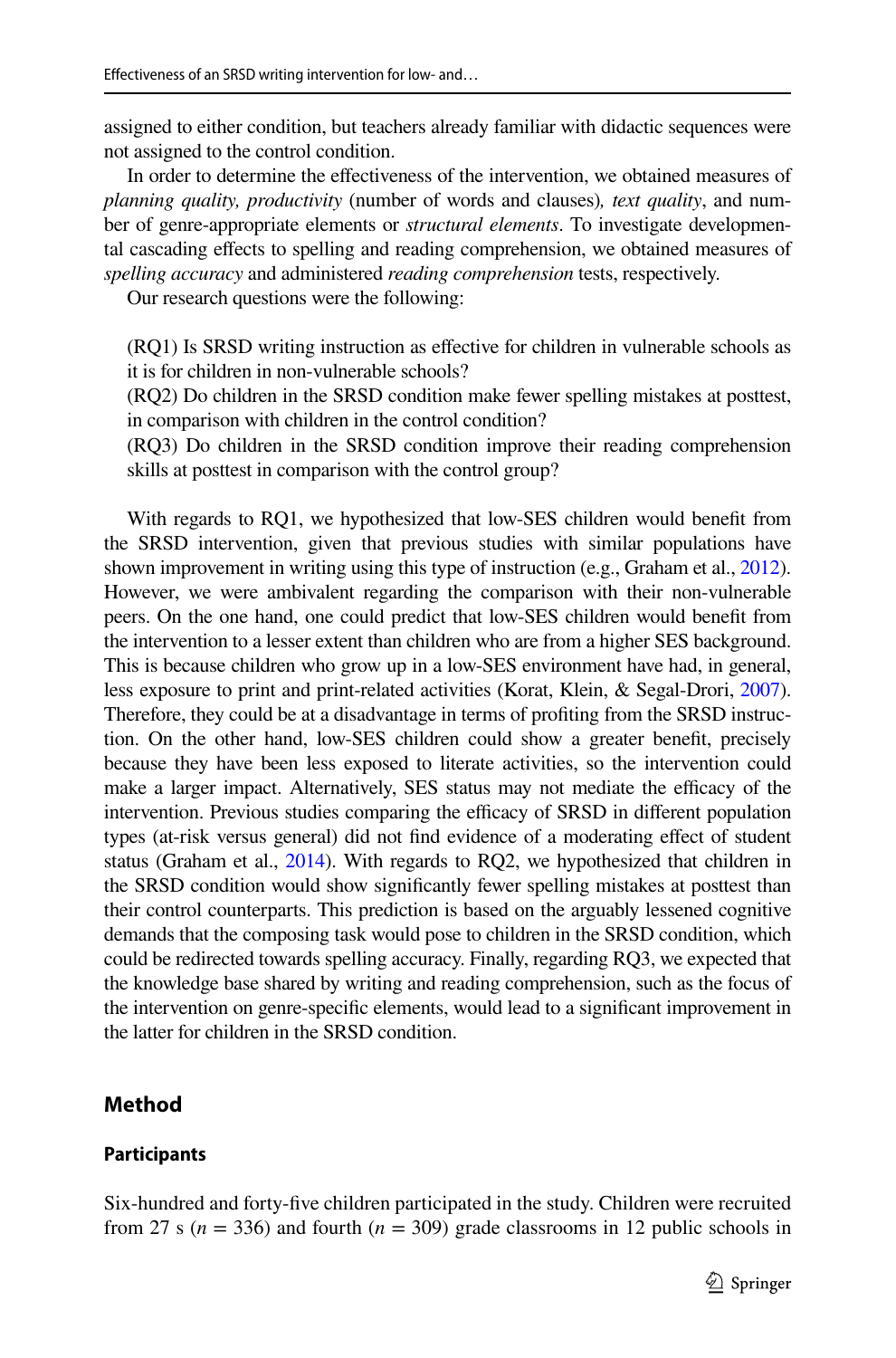assigned to either condition, but teachers already familiar with didactic sequences were not assigned to the control condition.

In order to determine the efectiveness of the intervention, we obtained measures of *planning quality, productivity* (number of words and clauses)*, text quality*, and number of genre-appropriate elements or *structural elements*. To investigate developmental cascading efects to spelling and reading comprehension, we obtained measures of *spelling accuracy* and administered *reading comprehension* tests, respectively.

Our research questions were the following:

(RQ1) Is SRSD writing instruction as efective for children in vulnerable schools as it is for children in non-vulnerable schools?

(RQ2) Do children in the SRSD condition make fewer spelling mistakes at posttest, in comparison with children in the control condition?

(RQ3) Do children in the SRSD condition improve their reading comprehension skills at posttest in comparison with the control group?

With regards to RQ1, we hypothesized that low-SES children would beneft from the SRSD intervention, given that previous studies with similar populations have shown improvement in writing using this type of instruction (e.g., Graham et al., [2012\)](#page-25-4). However, we were ambivalent regarding the comparison with their non-vulnerable peers. On the one hand, one could predict that low-SES children would beneft from the intervention to a lesser extent than children who are from a higher SES background. This is because children who grow up in a low-SES environment have had, in general, less exposure to print and print-related activities (Korat, Klein, & Segal-Drori, [2007\)](#page-26-13). Therefore, they could be at a disadvantage in terms of profting from the SRSD instruction. On the other hand, low-SES children could show a greater beneft, precisely because they have been less exposed to literate activities, so the intervention could make a larger impact. Alternatively, SES status may not mediate the efficacy of the intervention. Previous studies comparing the efficacy of SRSD in different population types (at-risk versus general) did not fnd evidence of a moderating efect of student status (Graham et al., [2014\)](#page-25-12). With regards to RQ2, we hypothesized that children in the SRSD condition would show signifcantly fewer spelling mistakes at posttest than their control counterparts. This prediction is based on the arguably lessened cognitive demands that the composing task would pose to children in the SRSD condition, which could be redirected towards spelling accuracy. Finally, regarding RQ3, we expected that the knowledge base shared by writing and reading comprehension, such as the focus of the intervention on genre-specifc elements, would lead to a signifcant improvement in the latter for children in the SRSD condition.

# **Method**

### **Participants**

Six-hundred and forty-fve children participated in the study. Children were recruited from 27 s ( $n = 336$ ) and fourth ( $n = 309$ ) grade classrooms in 12 public schools in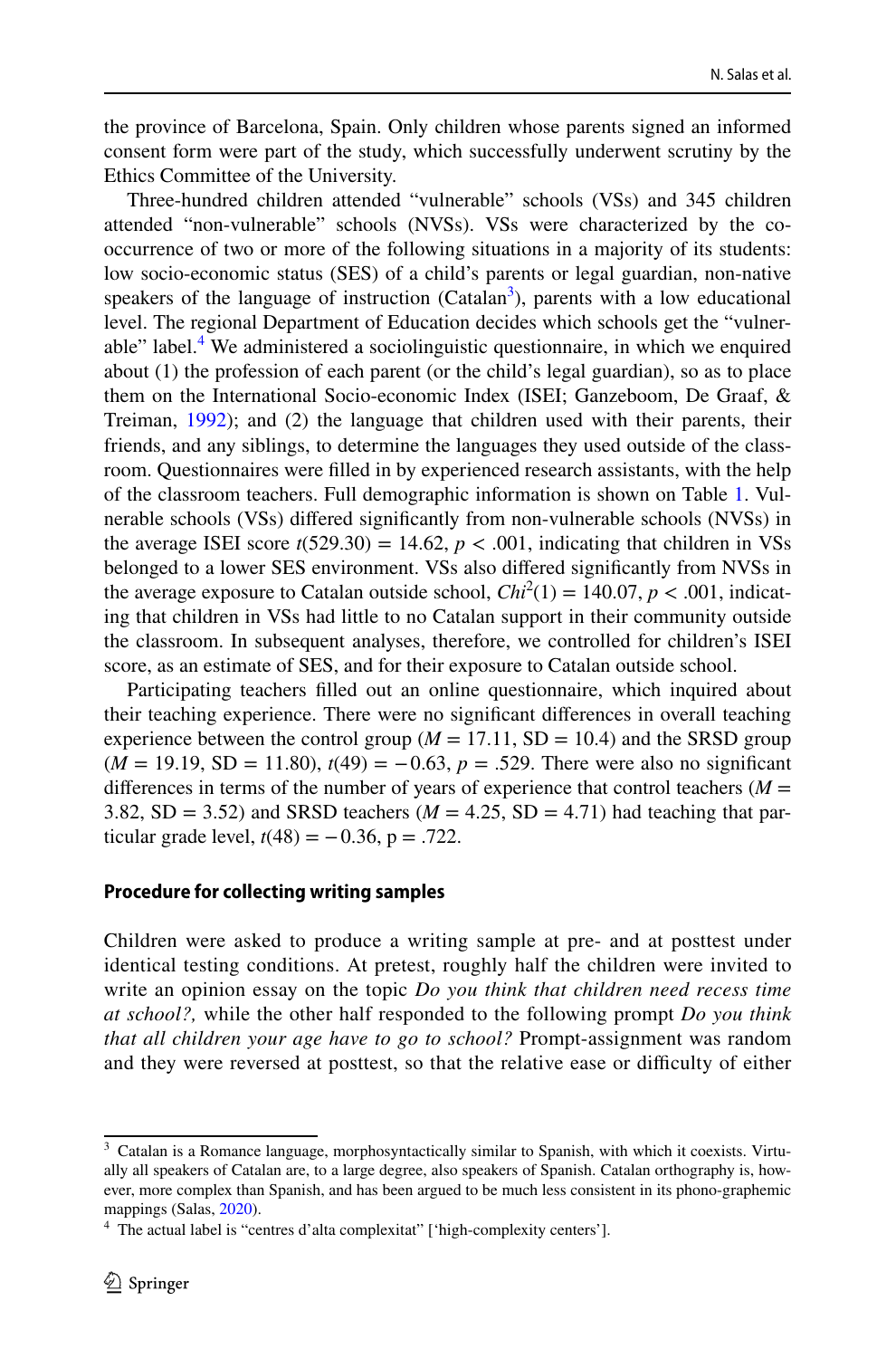the province of Barcelona, Spain. Only children whose parents signed an informed consent form were part of the study, which successfully underwent scrutiny by the Ethics Committee of the University.

Three-hundred children attended "vulnerable" schools (VSs) and 345 children attended "non-vulnerable" schools (NVSs). VSs were characterized by the cooccurrence of two or more of the following situations in a majority of its students: low socio-economic status (SES) of a child's parents or legal guardian, non-native speakers of the language of instruction  $(Catalan<sup>3</sup>)$  $(Catalan<sup>3</sup>)$  $(Catalan<sup>3</sup>)$ , parents with a low educational level. The regional Department of Education decides which schools get the "vulner-able" label.<sup>[4](#page-7-1)</sup> We administered a sociolinguistic questionnaire, in which we enquired about (1) the profession of each parent (or the child's legal guardian), so as to place them on the International Socio-economic Index (ISEI; Ganzeboom, De Graaf, & Treiman, [1992](#page-25-18)); and (2) the language that children used with their parents, their friends, and any siblings, to determine the languages they used outside of the classroom. Questionnaires were flled in by experienced research assistants, with the help of the classroom teachers. Full demographic information is shown on Table [1](#page-5-0). Vulnerable schools (VSs) difered signifcantly from non-vulnerable schools (NVSs) in the average ISEI score  $t(529.30) = 14.62$ ,  $p < .001$ , indicating that children in VSs belonged to a lower SES environment. VSs also difered signifcantly from NVSs in the average exposure to Catalan outside school,  $Chi^2(1) = 140.07$ ,  $p < .001$ , indicating that children in VSs had little to no Catalan support in their community outside the classroom. In subsequent analyses, therefore, we controlled for children's ISEI score, as an estimate of SES, and for their exposure to Catalan outside school.

Participating teachers flled out an online questionnaire, which inquired about their teaching experience. There were no signifcant diferences in overall teaching experience between the control group ( $M = 17.11$ , SD = 10.4) and the SRSD group  $(M = 19.19, SD = 11.80)$ ,  $t(49) = -0.63$ ,  $p = .529$ . There were also no significant differences in terms of the number of years of experience that control teachers ( $M =$ 3.82,  $SD = 3.52$ ) and SRSD teachers ( $M = 4.25$ ,  $SD = 4.71$ ) had teaching that particular grade level,  $t(48) = -0.36$ , p = .722.

### **Procedure for collecting writing samples**

Children were asked to produce a writing sample at pre- and at posttest under identical testing conditions. At pretest, roughly half the children were invited to write an opinion essay on the topic *Do you think that children need recess time at school?,* while the other half responded to the following prompt *Do you think that all children your age have to go to school?* Prompt-assignment was random and they were reversed at posttest, so that the relative ease or difficulty of either

<span id="page-7-0"></span><sup>&</sup>lt;sup>3</sup> Catalan is a Romance language, morphosyntactically similar to Spanish, with which it coexists. Virtually all speakers of Catalan are, to a large degree, also speakers of Spanish. Catalan orthography is, however, more complex than Spanish, and has been argued to be much less consistent in its phono-graphemic mappings (Salas, [2020\)](#page-27-9).

<span id="page-7-1"></span><sup>4</sup> The actual label is "centres d'alta complexitat" ['high-complexity centers'].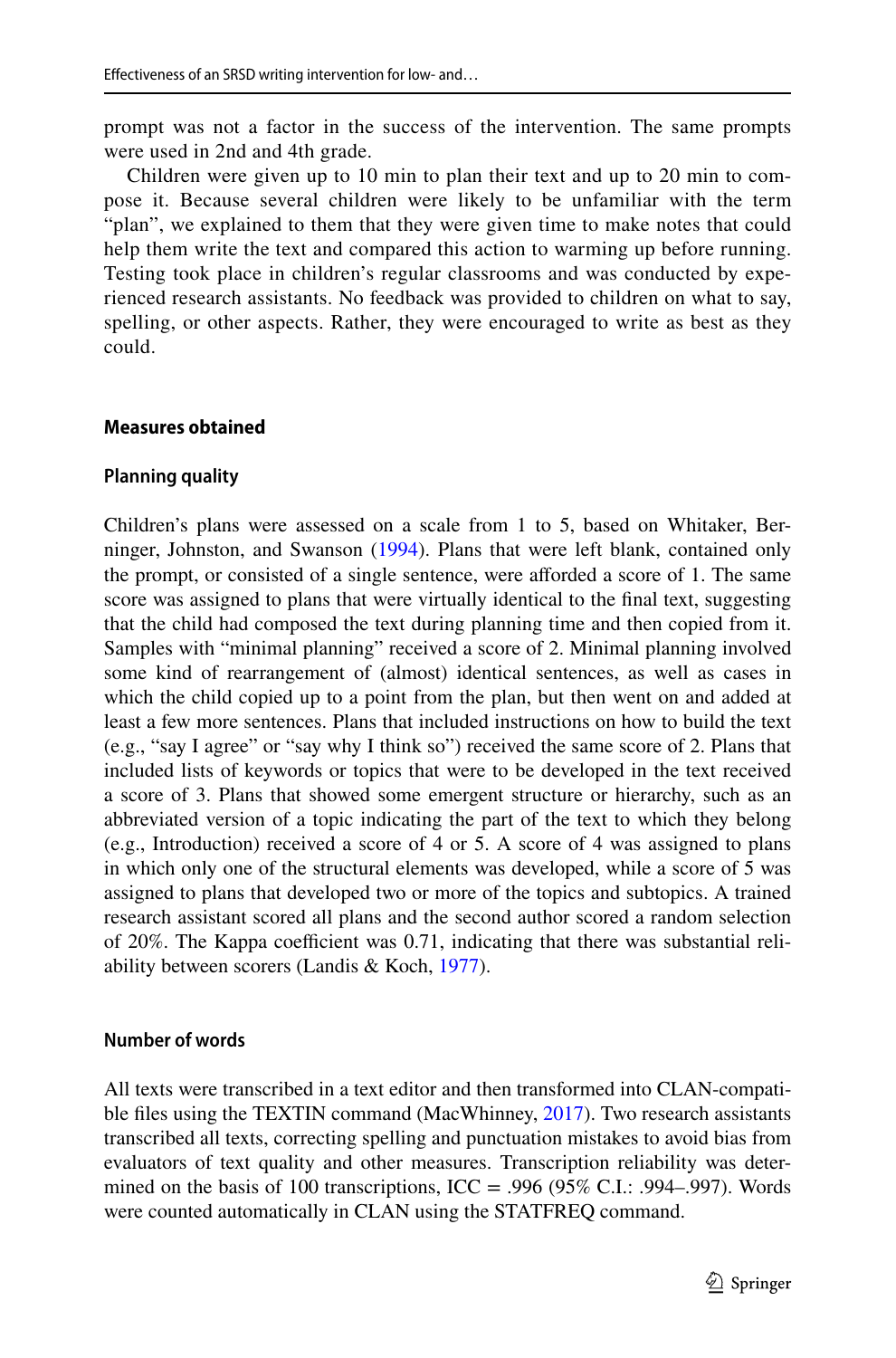prompt was not a factor in the success of the intervention. The same prompts were used in 2nd and 4th grade.

Children were given up to 10 min to plan their text and up to 20 min to compose it. Because several children were likely to be unfamiliar with the term "plan", we explained to them that they were given time to make notes that could help them write the text and compared this action to warming up before running. Testing took place in children's regular classrooms and was conducted by experienced research assistants. No feedback was provided to children on what to say, spelling, or other aspects. Rather, they were encouraged to write as best as they could.

### **Measures obtained**

### **Planning quality**

Children's plans were assessed on a scale from 1 to 5, based on Whitaker, Berninger, Johnston, and Swanson [\(1994](#page-27-10)). Plans that were left blank, contained only the prompt, or consisted of a single sentence, were aforded a score of 1. The same score was assigned to plans that were virtually identical to the fnal text, suggesting that the child had composed the text during planning time and then copied from it. Samples with "minimal planning" received a score of 2. Minimal planning involved some kind of rearrangement of (almost) identical sentences, as well as cases in which the child copied up to a point from the plan, but then went on and added at least a few more sentences. Plans that included instructions on how to build the text (e.g., "say I agree" or "say why I think so") received the same score of 2. Plans that included lists of keywords or topics that were to be developed in the text received a score of 3. Plans that showed some emergent structure or hierarchy, such as an abbreviated version of a topic indicating the part of the text to which they belong (e.g., Introduction) received a score of 4 or 5. A score of 4 was assigned to plans in which only one of the structural elements was developed, while a score of 5 was assigned to plans that developed two or more of the topics and subtopics. A trained research assistant scored all plans and the second author scored a random selection of 20%. The Kappa coefficient was 0.71, indicating that there was substantial reliability between scorers (Landis & Koch, [1977](#page-26-14)).

# **Number of words**

All texts were transcribed in a text editor and then transformed into CLAN-compati-ble files using the TEXTIN command (MacWhinney, [2017\)](#page-26-15). Two research assistants transcribed all texts, correcting spelling and punctuation mistakes to avoid bias from evaluators of text quality and other measures. Transcription reliability was determined on the basis of 100 transcriptions, ICC = .996 (95% C.I.: .994–.997). Words were counted automatically in CLAN using the STATFREQ command.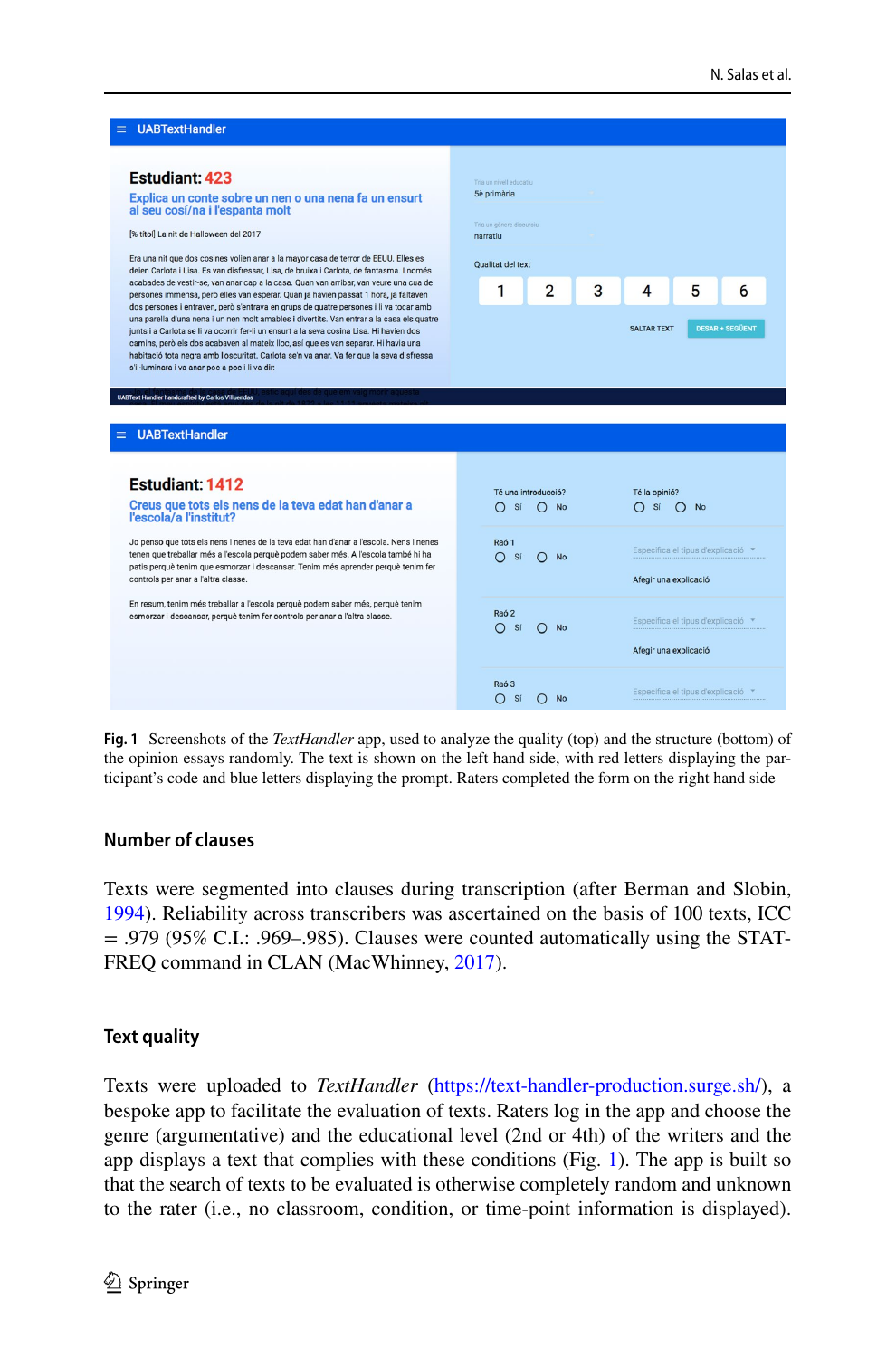

<span id="page-9-0"></span>**Fig. 1** Screenshots of the *TextHandler* app, used to analyze the quality (top) and the structure (bottom) of the opinion essays randomly. The text is shown on the left hand side, with red letters displaying the participant's code and blue letters displaying the prompt. Raters completed the form on the right hand side

### **Number of clauses**

Texts were segmented into clauses during transcription (after Berman and Slobin, [1994](#page-24-9)). Reliability across transcribers was ascertained on the basis of 100 texts, ICC = .979 (95% C.I.: .969–.985). Clauses were counted automatically using the STAT-FREQ command in CLAN (MacWhinney, [2017](#page-26-15)).

# **Text quality**

Texts were uploaded to *TextHandler* [\(https://text-handler-production.surge.sh/](https://text-handler-production.surge.sh/)), a bespoke app to facilitate the evaluation of texts. Raters log in the app and choose the genre (argumentative) and the educational level (2nd or 4th) of the writers and the app displays a text that complies with these conditions (Fig. [1](#page-9-0)). The app is built so that the search of texts to be evaluated is otherwise completely random and unknown to the rater (i.e., no classroom, condition, or time-point information is displayed).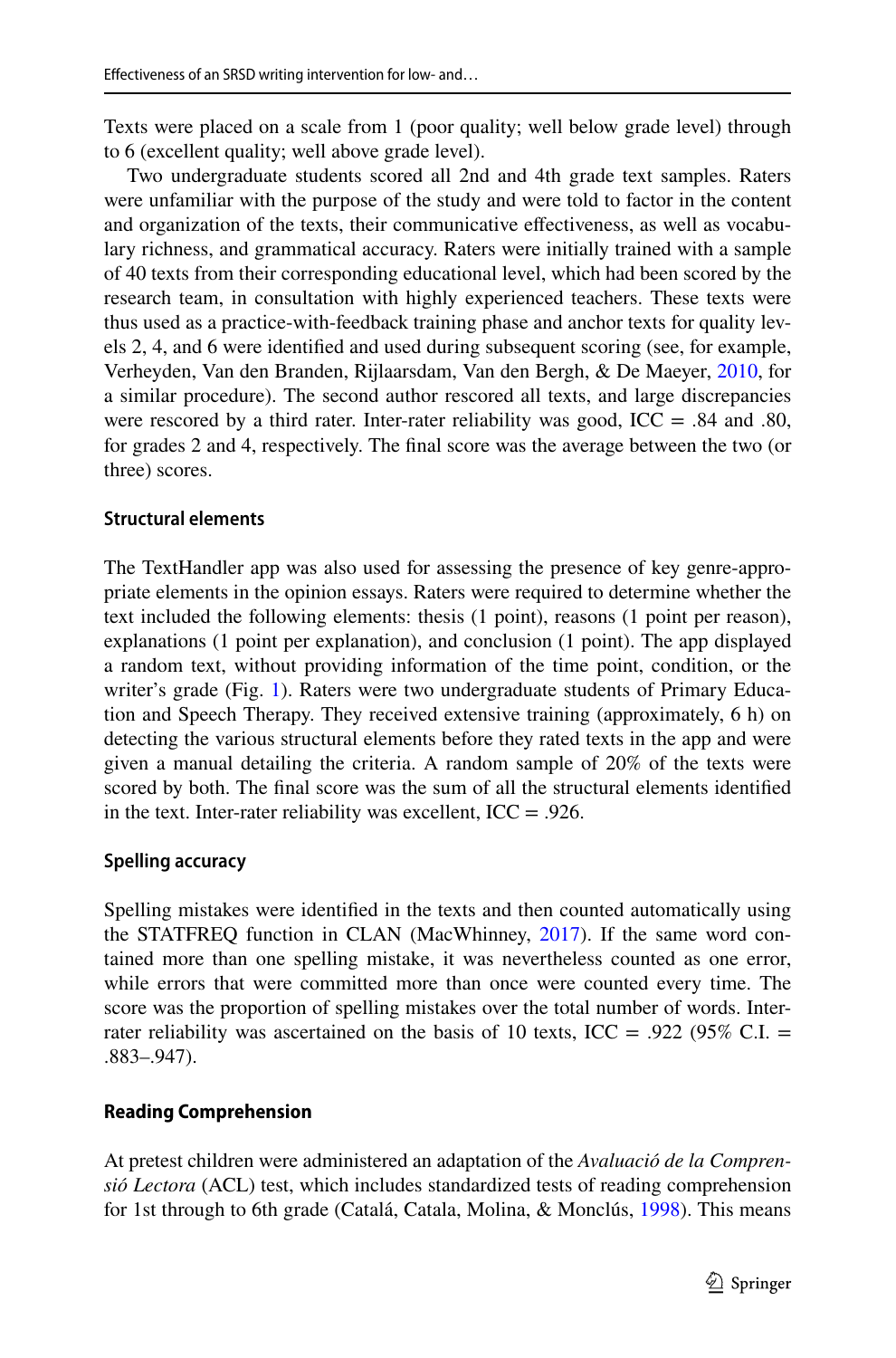Texts were placed on a scale from 1 (poor quality; well below grade level) through to 6 (excellent quality; well above grade level).

Two undergraduate students scored all 2nd and 4th grade text samples. Raters were unfamiliar with the purpose of the study and were told to factor in the content and organization of the texts, their communicative efectiveness, as well as vocabulary richness, and grammatical accuracy. Raters were initially trained with a sample of 40 texts from their corresponding educational level, which had been scored by the research team, in consultation with highly experienced teachers. These texts were thus used as a practice-with-feedback training phase and anchor texts for quality levels 2, 4, and 6 were identifed and used during subsequent scoring (see, for example, Verheyden, Van den Branden, Rijlaarsdam, Van den Bergh, & De Maeyer, [2010,](#page-27-11) for a similar procedure). The second author rescored all texts, and large discrepancies were rescored by a third rater. Inter-rater reliability was good, ICC = .84 and .80, for grades 2 and 4, respectively. The fnal score was the average between the two (or three) scores.

### **Structural elements**

The TextHandler app was also used for assessing the presence of key genre-appropriate elements in the opinion essays. Raters were required to determine whether the text included the following elements: thesis (1 point), reasons (1 point per reason), explanations (1 point per explanation), and conclusion (1 point). The app displayed a random text, without providing information of the time point, condition, or the writer's grade (Fig. [1\)](#page-9-0). Raters were two undergraduate students of Primary Education and Speech Therapy. They received extensive training (approximately, 6 h) on detecting the various structural elements before they rated texts in the app and were given a manual detailing the criteria. A random sample of 20% of the texts were scored by both. The fnal score was the sum of all the structural elements identifed in the text. Inter-rater reliability was excellent,  $ICC = .926$ .

### **Spelling accuracy**

Spelling mistakes were identifed in the texts and then counted automatically using the STATFREQ function in CLAN (MacWhinney, [2017\)](#page-26-15). If the same word contained more than one spelling mistake, it was nevertheless counted as one error, while errors that were committed more than once were counted every time. The score was the proportion of spelling mistakes over the total number of words. Interrater reliability was ascertained on the basis of 10 texts, ICC = .922 (95% C.I. = .883–.947).

### **Reading Comprehension**

At pretest children were administered an adaptation of the *Avaluació de la Comprensió Lectora* (ACL) test, which includes standardized tests of reading comprehension for 1st through to 6th grade (Catalá, Catala, Molina, & Monclús, [1998\)](#page-24-10). This means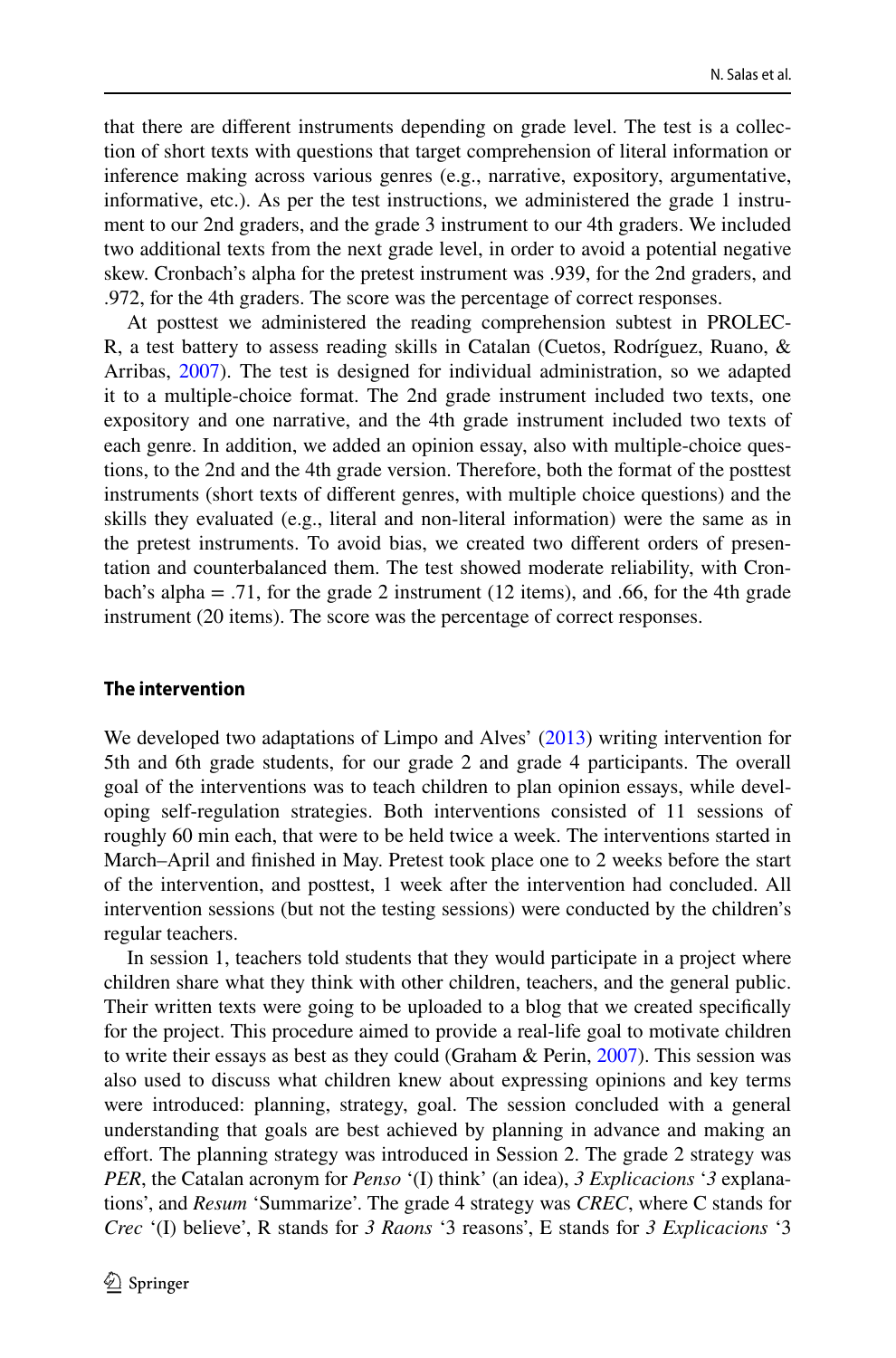that there are diferent instruments depending on grade level. The test is a collection of short texts with questions that target comprehension of literal information or inference making across various genres (e.g., narrative, expository, argumentative, informative, etc.). As per the test instructions, we administered the grade 1 instrument to our 2nd graders, and the grade 3 instrument to our 4th graders. We included two additional texts from the next grade level, in order to avoid a potential negative skew. Cronbach's alpha for the pretest instrument was .939, for the 2nd graders, and .972, for the 4th graders. The score was the percentage of correct responses.

At posttest we administered the reading comprehension subtest in PROLEC-R, a test battery to assess reading skills in Catalan (Cuetos, Rodríguez, Ruano, & Arribas, [2007\)](#page-25-19). The test is designed for individual administration, so we adapted it to a multiple-choice format. The 2nd grade instrument included two texts, one expository and one narrative, and the 4th grade instrument included two texts of each genre. In addition, we added an opinion essay, also with multiple-choice questions, to the 2nd and the 4th grade version. Therefore, both the format of the posttest instruments (short texts of diferent genres, with multiple choice questions) and the skills they evaluated (e.g., literal and non-literal information) were the same as in the pretest instruments. To avoid bias, we created two diferent orders of presentation and counterbalanced them. The test showed moderate reliability, with Cronbach's alpha  $= .71$ , for the grade 2 instrument (12 items), and .66, for the 4th grade instrument (20 items). The score was the percentage of correct responses.

### **The intervention**

We developed two adaptations of Limpo and Alves' [\(2013](#page-26-16)) writing intervention for 5th and 6th grade students, for our grade 2 and grade 4 participants. The overall goal of the interventions was to teach children to plan opinion essays, while developing self-regulation strategies. Both interventions consisted of 11 sessions of roughly 60 min each, that were to be held twice a week. The interventions started in March–April and fnished in May. Pretest took place one to 2 weeks before the start of the intervention, and posttest, 1 week after the intervention had concluded. All intervention sessions (but not the testing sessions) were conducted by the children's regular teachers.

In session 1, teachers told students that they would participate in a project where children share what they think with other children, teachers, and the general public. Their written texts were going to be uploaded to a blog that we created specifcally for the project. This procedure aimed to provide a real-life goal to motivate children to write their essays as best as they could (Graham  $\&$  Perin, [2007\)](#page-25-3). This session was also used to discuss what children knew about expressing opinions and key terms were introduced: planning, strategy, goal. The session concluded with a general understanding that goals are best achieved by planning in advance and making an efort. The planning strategy was introduced in Session 2. The grade 2 strategy was *PER*, the Catalan acronym for *Penso* '(I) think' (an idea), *3 Explicacions* '*3* explanations', and *Resum* 'Summarize'. The grade 4 strategy was *CREC*, where C stands for *Crec* '(I) believe', R stands for *3 Raons* '3 reasons', E stands for *3 Explicacions* '3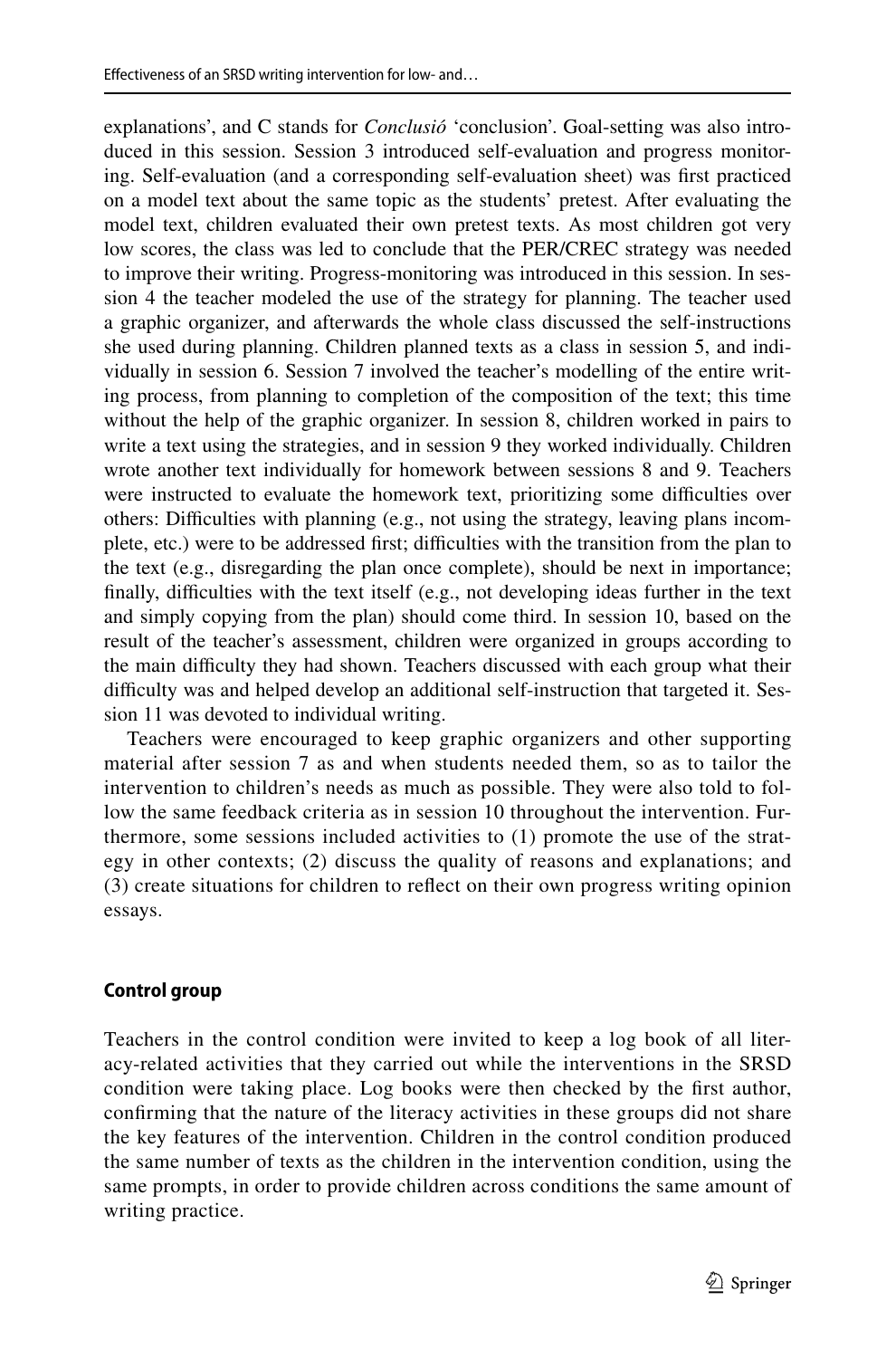explanations', and C stands for *Conclusió* 'conclusion'. Goal-setting was also introduced in this session. Session 3 introduced self-evaluation and progress monitoring. Self-evaluation (and a corresponding self-evaluation sheet) was frst practiced on a model text about the same topic as the students' pretest. After evaluating the model text, children evaluated their own pretest texts. As most children got very low scores, the class was led to conclude that the PER/CREC strategy was needed to improve their writing. Progress-monitoring was introduced in this session. In session 4 the teacher modeled the use of the strategy for planning. The teacher used a graphic organizer, and afterwards the whole class discussed the self-instructions she used during planning. Children planned texts as a class in session 5, and individually in session 6. Session 7 involved the teacher's modelling of the entire writing process, from planning to completion of the composition of the text; this time without the help of the graphic organizer. In session 8, children worked in pairs to write a text using the strategies, and in session 9 they worked individually. Children wrote another text individually for homework between sessions 8 and 9. Teachers were instructed to evaluate the homework text, prioritizing some difficulties over others: Difculties with planning (e.g., not using the strategy, leaving plans incomplete, etc.) were to be addressed first; difficulties with the transition from the plan to the text (e.g., disregarding the plan once complete), should be next in importance; finally, difficulties with the text itself (e.g., not developing ideas further in the text and simply copying from the plan) should come third. In session 10, based on the result of the teacher's assessment, children were organized in groups according to the main difficulty they had shown. Teachers discussed with each group what their difficulty was and helped develop an additional self-instruction that targeted it. Session 11 was devoted to individual writing.

Teachers were encouraged to keep graphic organizers and other supporting material after session 7 as and when students needed them, so as to tailor the intervention to children's needs as much as possible. They were also told to follow the same feedback criteria as in session 10 throughout the intervention. Furthermore, some sessions included activities to (1) promote the use of the strategy in other contexts; (2) discuss the quality of reasons and explanations; and (3) create situations for children to refect on their own progress writing opinion essays.

# **Control group**

Teachers in the control condition were invited to keep a log book of all literacy-related activities that they carried out while the interventions in the SRSD condition were taking place. Log books were then checked by the frst author, confrming that the nature of the literacy activities in these groups did not share the key features of the intervention. Children in the control condition produced the same number of texts as the children in the intervention condition, using the same prompts, in order to provide children across conditions the same amount of writing practice.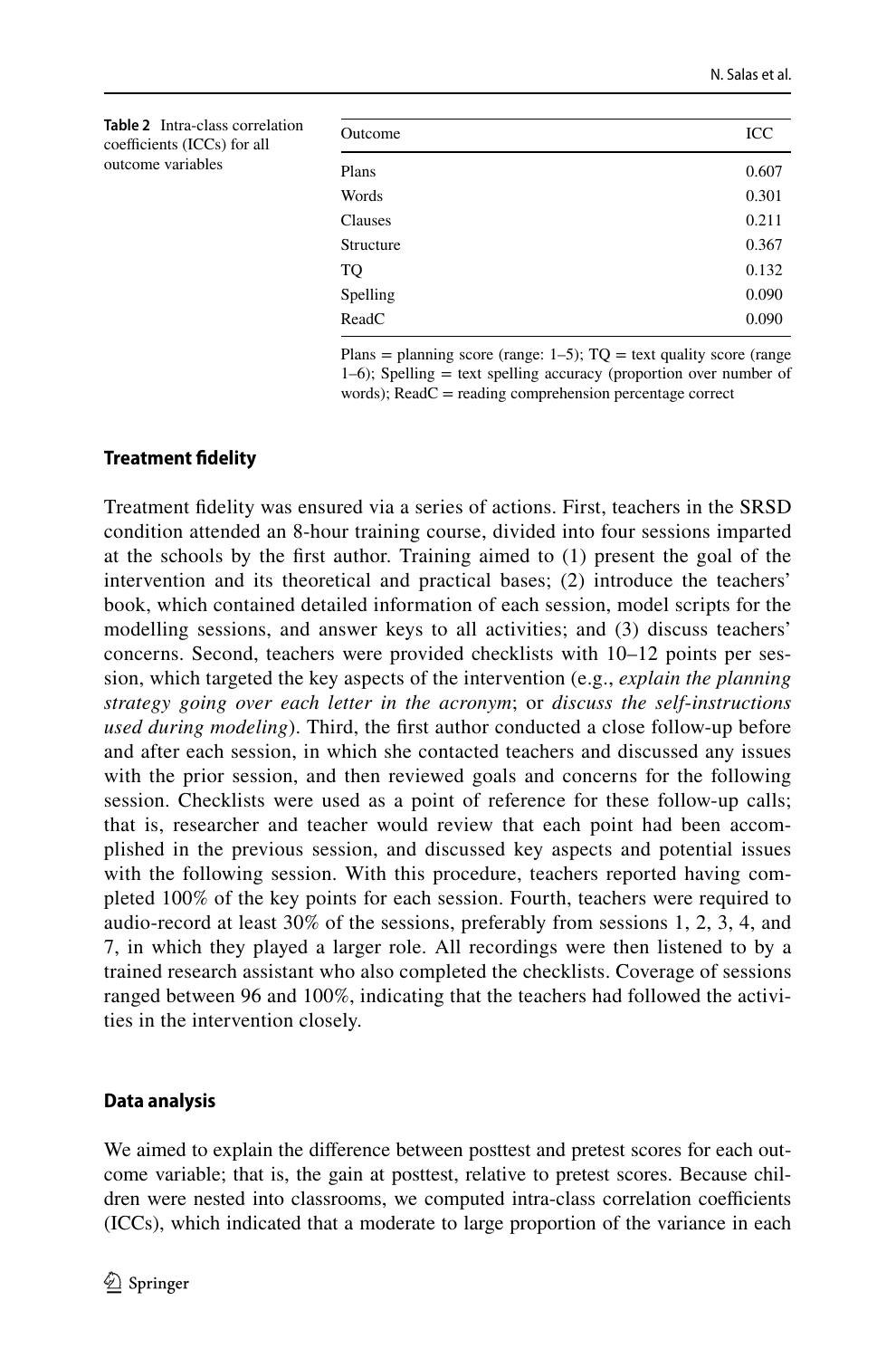<span id="page-13-0"></span>

| <b>Table 2</b> Intra-class correlation |
|----------------------------------------|
| coefficients (ICCs) for all            |
| outcome variables                      |

| Outcome   | ICC   |
|-----------|-------|
| Plans     | 0.607 |
| Words     | 0.301 |
| Clauses   | 0.211 |
| Structure | 0.367 |
| TQ        | 0.132 |
| Spelling  | 0.090 |
| ReadC     | 0.090 |

Plans = planning score (range:  $1-5$ ); TQ = text quality score (range 1–6); Spelling = text spelling accuracy (proportion over number of words); ReadC = reading comprehension percentage correct

# **Treatment fdelity**

Treatment fdelity was ensured via a series of actions. First, teachers in the SRSD condition attended an 8-hour training course, divided into four sessions imparted at the schools by the frst author. Training aimed to (1) present the goal of the intervention and its theoretical and practical bases; (2) introduce the teachers' book, which contained detailed information of each session, model scripts for the modelling sessions, and answer keys to all activities; and (3) discuss teachers' concerns. Second, teachers were provided checklists with 10–12 points per session, which targeted the key aspects of the intervention (e.g., *explain the planning strategy going over each letter in the acronym*; or *discuss the self*-*instructions used during modeling*). Third, the frst author conducted a close follow-up before and after each session, in which she contacted teachers and discussed any issues with the prior session, and then reviewed goals and concerns for the following session. Checklists were used as a point of reference for these follow-up calls; that is, researcher and teacher would review that each point had been accomplished in the previous session, and discussed key aspects and potential issues with the following session. With this procedure, teachers reported having completed 100% of the key points for each session. Fourth, teachers were required to audio-record at least 30% of the sessions, preferably from sessions 1, 2, 3, 4, and 7, in which they played a larger role. All recordings were then listened to by a trained research assistant who also completed the checklists. Coverage of sessions ranged between 96 and 100%, indicating that the teachers had followed the activities in the intervention closely.

# **Data analysis**

We aimed to explain the diference between posttest and pretest scores for each outcome variable; that is, the gain at posttest, relative to pretest scores. Because children were nested into classrooms, we computed intra-class correlation coefficients (ICCs), which indicated that a moderate to large proportion of the variance in each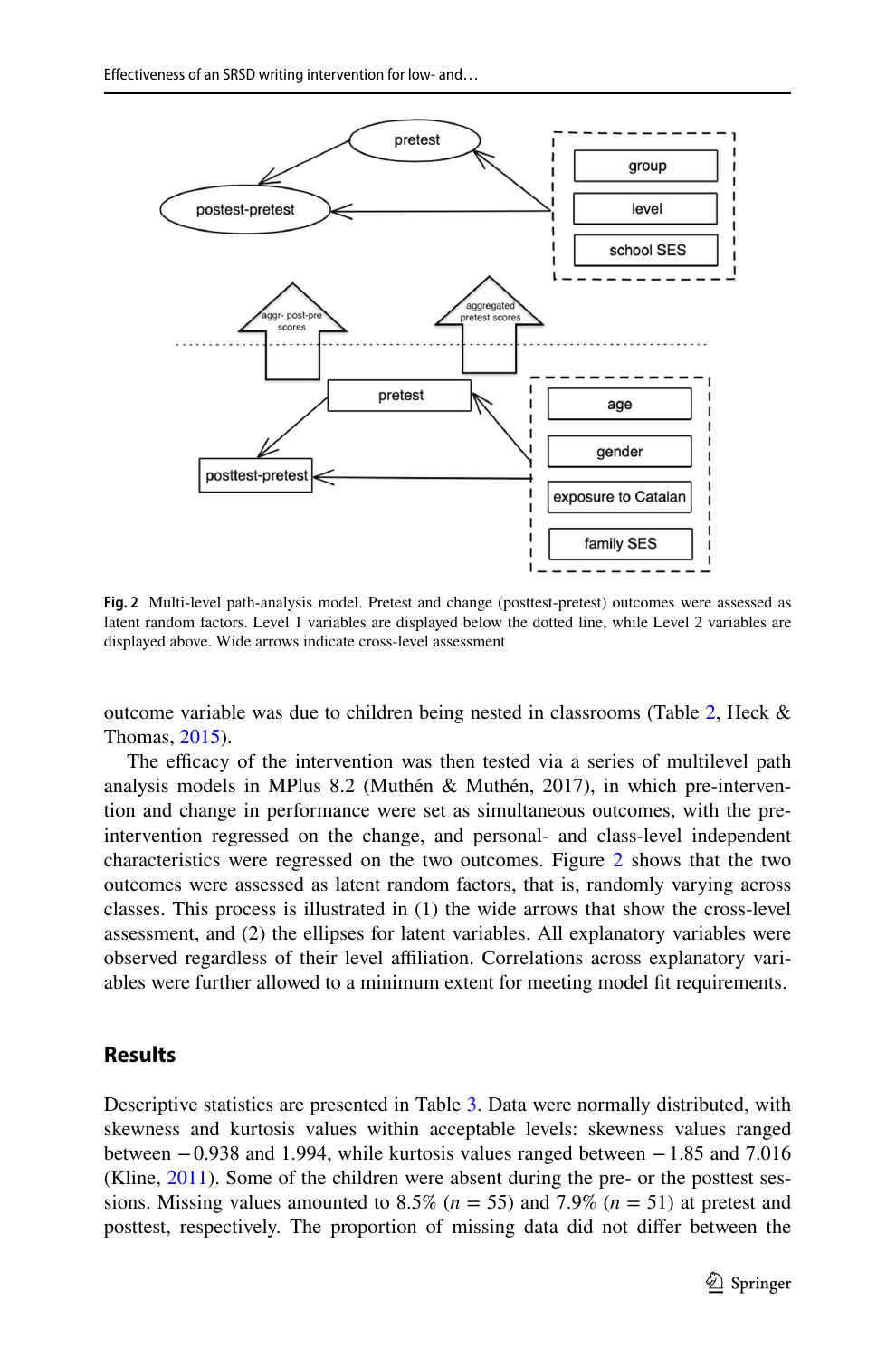

<span id="page-14-0"></span>**Fig. 2** Multi-level path-analysis model. Pretest and change (posttest-pretest) outcomes were assessed as latent random factors. Level 1 variables are displayed below the dotted line, while Level 2 variables are displayed above. Wide arrows indicate cross-level assessment

outcome variable was due to children being nested in classrooms (Table [2](#page-13-0), Heck & Thomas, [2015](#page-26-17)).

The efficacy of the intervention was then tested via a series of multilevel path analysis models in MPlus 8.2 (Muthén & Muthén, 2017), in which pre-intervention and change in performance were set as simultaneous outcomes, with the preintervention regressed on the change, and personal- and class-level independent characteristics were regressed on the two outcomes. Figure [2](#page-14-0) shows that the two outcomes were assessed as latent random factors, that is, randomly varying across classes. This process is illustrated in (1) the wide arrows that show the cross-level assessment, and (2) the ellipses for latent variables. All explanatory variables were observed regardless of their level afliation. Correlations across explanatory variables were further allowed to a minimum extent for meeting model ft requirements.

# **Results**

Descriptive statistics are presented in Table [3](#page-15-0). Data were normally distributed, with skewness and kurtosis values within acceptable levels: skewness values ranged between −0.938 and 1.994, while kurtosis values ranged between −1.85 and 7.016 (Kline, [2011](#page-26-18)). Some of the children were absent during the pre- or the posttest sessions. Missing values amounted to 8.5% ( $n = 55$ ) and 7.9% ( $n = 51$ ) at pretest and posttest, respectively. The proportion of missing data did not difer between the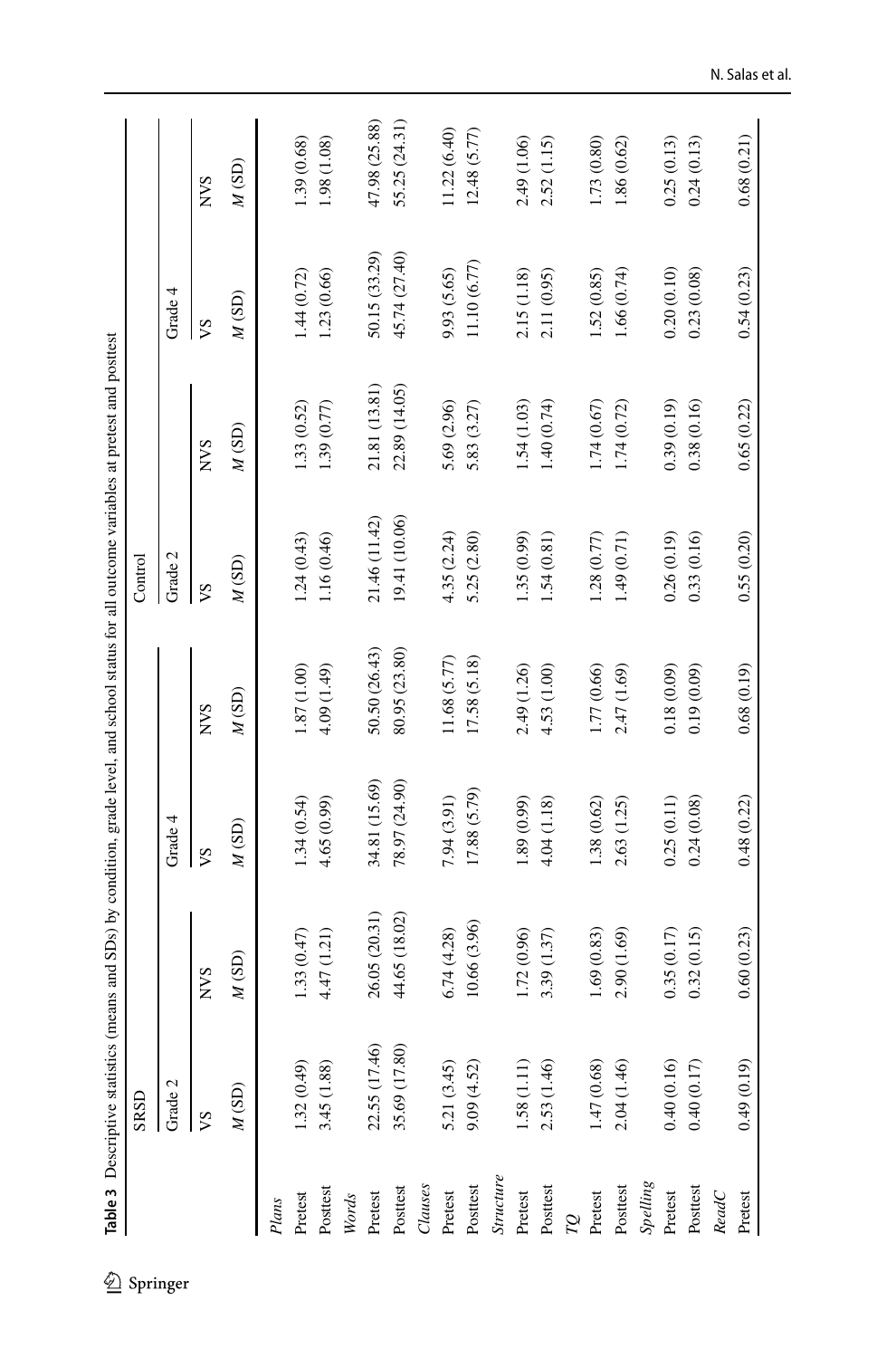<span id="page-15-0"></span>

|                  | SRSD          |               |               |                              | Control       |               |               |               |
|------------------|---------------|---------------|---------------|------------------------------|---------------|---------------|---------------|---------------|
|                  | Grade 2       |               | Grade 4       |                              | Grade 2       |               | Grade 4       |               |
|                  | VS            | <b>NVS</b>    | Š             | <b>NVS</b>                   | ΣΛ            | <b>NVS</b>    | ΣΛ            | <b>NVS</b>    |
|                  | M(SD)         | M(SD)         | M(SD)         | $M\left( \mathrm{SD}\right)$ | M(SD)         | M(SD)         | M(SD)         | M(SD)         |
| Plans            |               |               |               |                              |               |               |               |               |
| Pretest          | 1.32(0.49)    | 1.33(0.47)    | 1.34(0.54)    | (.87(1.00)                   | 1.24(0.43)    | 1.33(0.52)    | 1.44(0.72)    | .39(0.68)     |
| Posttest         | 3.45 (1.88)   | 4.47 (1.21)   | 4.65 (0.99)   | 4.09 (1.49)                  | 1.16(0.46)    | 1.39(0.77)    | 1.23 (0.66)   | 1.98 (1.08)   |
| Words            |               |               |               |                              |               |               |               |               |
| Pretest          | 22.55 (17.46) | 26.05 (20.31) | 34.81 (15.69) | 50.50 (26.43)                | 21.46 (11.42) | 21.81 (13.81) | 50.15 (33.29) | 47.98 (25.88) |
| Posttest         | 35.69 (17.80) | 44.65 (18.02) | 78.97 (24.90) | 80.95 (23.80)                | 19.41 (10.06) | 22.89 (14.05) | 45.74 (27.40) | 55.25 (24.31) |
| Clauses          |               |               |               |                              |               |               |               |               |
| Pretest          | 5.21 (3.45)   | 6.74(4.28)    | 7.94 (3.91)   | 11.68 (5.77)                 | 4.35 (2.24)   | 5.69 (2.96)   | 9.93 (5.65)   | 11.22 (6.40)  |
| Posttest         | 9.09(4.52)    | 10.66 (3.96)  | 17.88 (5.79)  | 17.58 (5.18)                 | 5.25 (2.80)   | 5.83 (3.27)   | 11.10 (6.77)  | 12.48(5.77)   |
| <b>Structure</b> |               |               |               |                              |               |               |               |               |
| Pretest          | .58(1.11)     | 1.72(0.96)    | $(66.0)$ 68.  | 2.49 (1.26)                  | 1.35 (0.99)   | 1.54(1.03)    | 2.15 (1.18)   | 2.49 (1.06)   |
| Posttest         | 2.53 (1.46)   | 3.39(1.37)    | 4.04 (1.18)   | 4.53 (1.00)                  | 1.54(0.81)    | 1.40 (0.74)   | 2.11 (0.95)   | 2.52(1.15)    |
| 20               |               |               |               |                              |               |               |               |               |
| Pretest          | .47(0.68)     | 1.69(0.83)    | .38(0.62)     | 1.77 (0.66)                  | 1.28(0.77)    | 1.74(0.67)    | 1.52(0.85)    | .73(0.80)     |
| Posttest         | 2.04(1.46)    | 2.90(1.69)    | 2.63(1.25)    | 2.47 (1.69)                  | 1.49(0.71)    | 1.74(0.72)    | 1.66(0.74)    | 1.86(0.62)    |
| Spelling         |               |               |               |                              |               |               |               |               |
| Pretest          | 0.40 (0.16)   | 0.35(0.17)    | 0.25(0.11)    | 0.18(0.09)                   | 0.26(0.19)    | 0.39(0.19)    | 0.20(0.10)    | 0.25(0.13)    |
| Posttest         | 0.40 (0.17)   | 0.32(0.15)    | 0.24(0.08)    | 0.19(0.09)                   | 0.33(0.16)    | 0.38(0.16)    | 0.23(0.08)    | 0.24(0.13)    |
| ReadC            |               |               |               |                              |               |               |               |               |
| Pretest          | 0.49(0.19)    | 0.60(0.23)    | 0.48(0.22)    | 0.68(0.19)                   | 0.55(0.20)    | 0.65(0.22)    | 0.54(0.23)    | 0.68(0.21)    |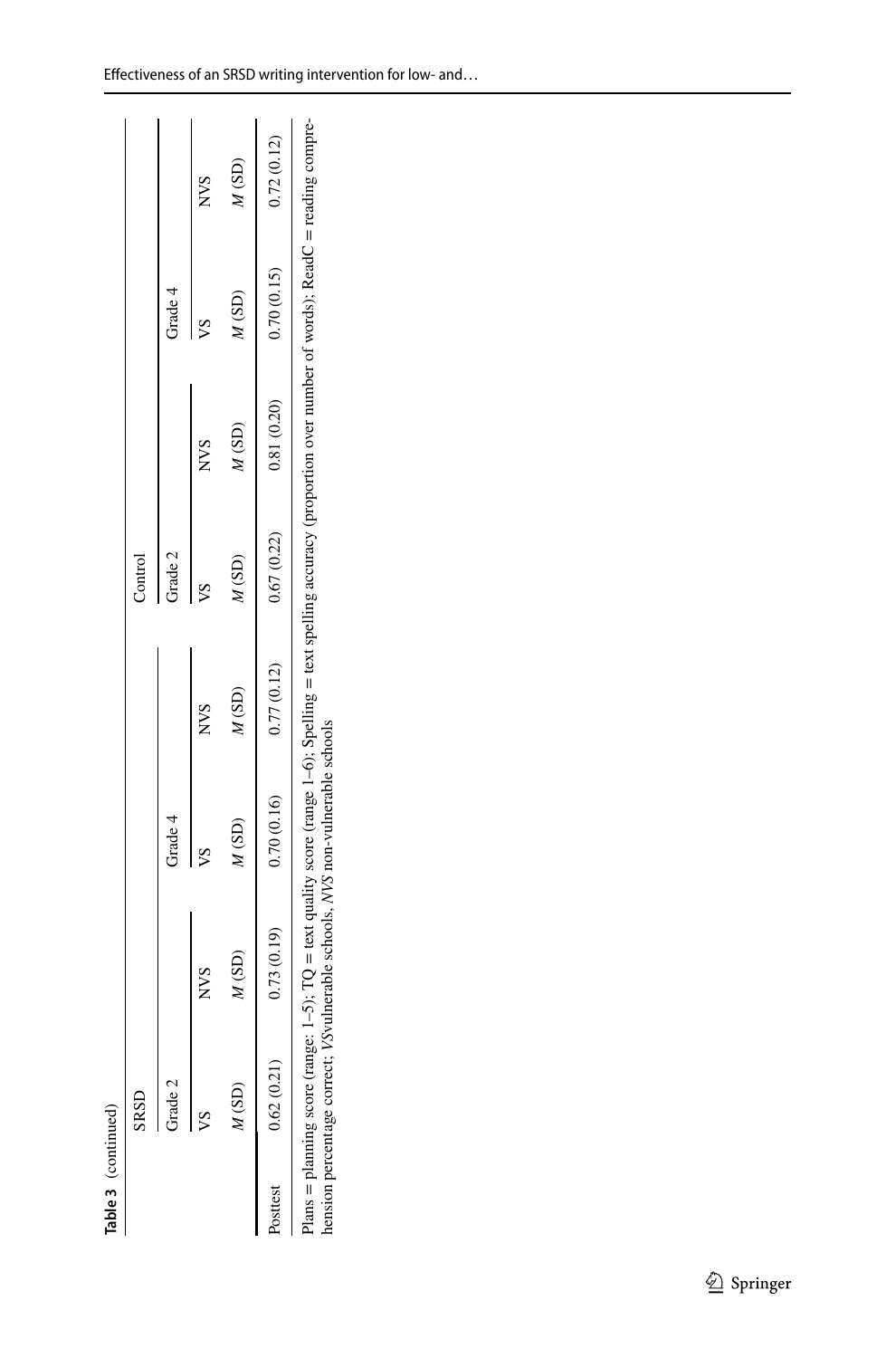| i |
|---|
|   |

|         | <b>SRSD</b>                     |            |                                                                                                                                                                                                                         |                           | Control |            |            |            |
|---------|---------------------------------|------------|-------------------------------------------------------------------------------------------------------------------------------------------------------------------------------------------------------------------------|---------------------------|---------|------------|------------|------------|
|         | Grade 2                         |            | Grade 4                                                                                                                                                                                                                 |                           | Grade 2 |            | Grade 4    |            |
|         |                                 | <b>NVS</b> |                                                                                                                                                                                                                         | <b>NVS</b>                |         | <b>NVS</b> |            | <b>NVS</b> |
|         | M(SD)                           | M(SD)      | M(SD)                                                                                                                                                                                                                   | M(SD)                     | M(SD)   | M(SD)      | M(SD)      | M(SD)      |
| osttest | 0.62(0.21)                      | 0.73(0.19) | 0.70(0.16)                                                                                                                                                                                                              | $0.77(0.12)$ $0.67(0.22)$ |         | 0.81(0.20) | 0.70(0.15) | 0.72(0.12) |
|         | ension percentage correct; VSvu |            | lans = planning score (range: 1-5); $TQ = text$ quality score (range 1-6); Spelling = text spelling accuracy (proportion over number of words); ReadC = reading compre-<br>dnerable schools, NVS non-vulnerable schools |                           |         |            |            |            |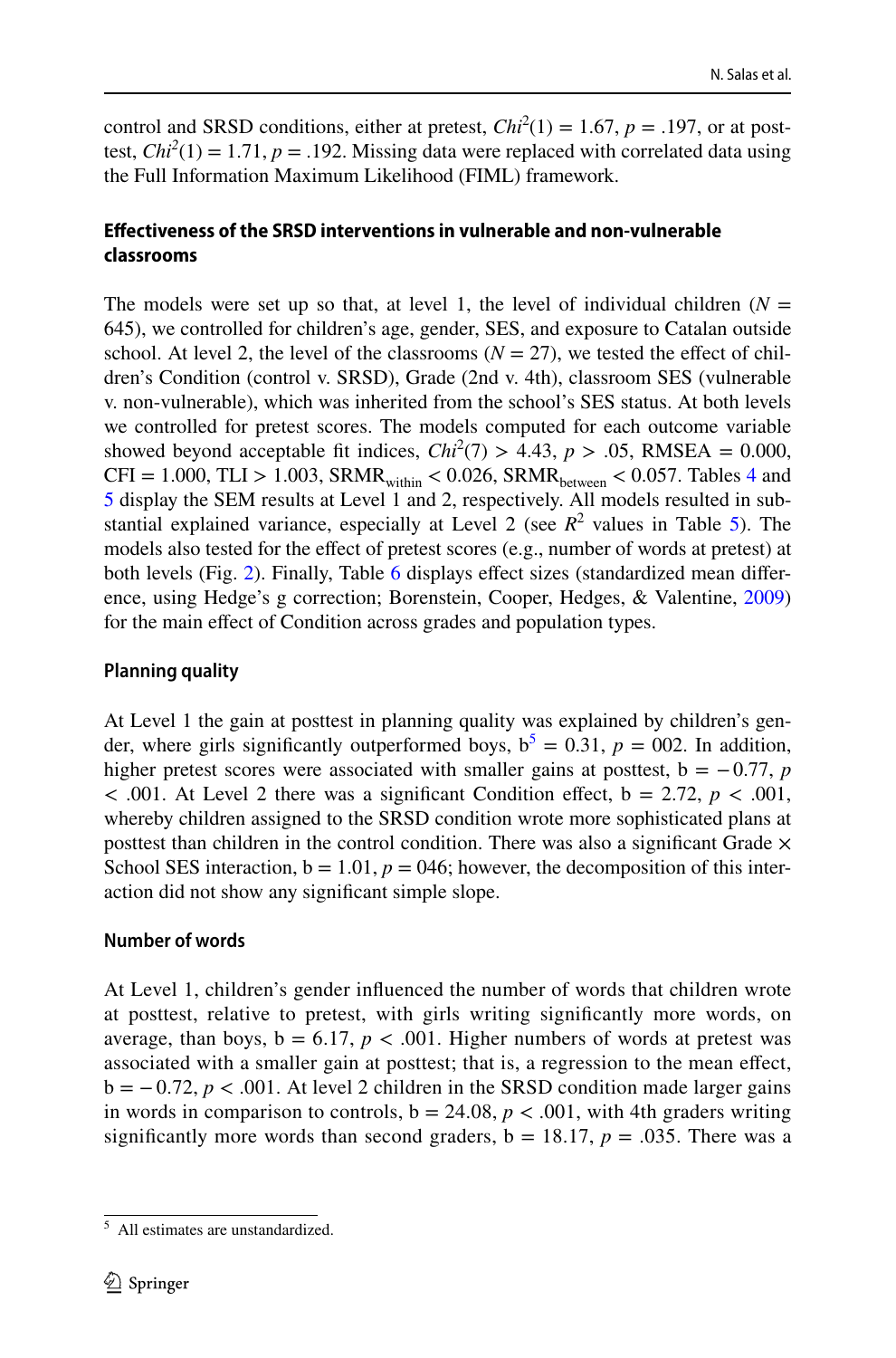control and SRSD conditions, either at pretest,  $Chi^2(1) = 1.67$ ,  $p = .197$ , or at posttest,  $Chi^2(1) = 1.71$ ,  $p = .192$ . Missing data were replaced with correlated data using the Full Information Maximum Likelihood (FIML) framework.

# **Efectiveness of the SRSD interventions in vulnerable and non‑vulnerable classrooms**

The models were set up so that, at level 1, the level of individual children ( $N =$ 645), we controlled for children's age, gender, SES, and exposure to Catalan outside school. At level 2, the level of the classrooms  $(N = 27)$ , we tested the effect of children's Condition (control v. SRSD), Grade (2nd v. 4th), classroom SES (vulnerable v. non-vulnerable), which was inherited from the school's SES status. At both levels we controlled for pretest scores. The models computed for each outcome variable showed beyond acceptable fit indices,  $Chi^2(7) > 4.43$ ,  $p > .05$ , RMSEA = 0.000,  $CFI = 1.000, TLI > 1.003, SRMR_{within} < 0.026, SRMR_{between} < 0.057$ . Tables [4](#page-18-0) and [5](#page-19-0) display the SEM results at Level 1 and 2, respectively. All models resulted in substantial explained variance, especially at Level 2 (see  $R^2$  values in Table [5](#page-19-0)). The models also tested for the efect of pretest scores (e.g., number of words at pretest) at both levels (Fig. [2\)](#page-14-0). Finally, Table [6](#page-20-0) displays efect sizes (standardized mean diference, using Hedge's g correction; Borenstein, Cooper, Hedges, & Valentine, [2009](#page-24-11)) for the main effect of Condition across grades and population types.

# **Planning quality**

At Level 1 the gain at posttest in planning quality was explained by children's gender, where girls significantly outperformed boys,  $b^5 = 0.31$  $b^5 = 0.31$  $b^5 = 0.31$ ,  $p = 002$ . In addition, higher pretest scores were associated with smaller gains at posttest,  $b = -0.77$ , *p*  $\leq$  .001. At Level 2 there was a significant Condition effect,  $b = 2.72$ ,  $p \leq .001$ , whereby children assigned to the SRSD condition wrote more sophisticated plans at posttest than children in the control condition. There was also a significant Grade  $\times$ School SES interaction,  $b = 1.01$ ,  $p = 046$ ; however, the decomposition of this interaction did not show any signifcant simple slope.

# **Number of words**

At Level 1, children's gender infuenced the number of words that children wrote at posttest, relative to pretest, with girls writing signifcantly more words, on average, than boys,  $b = 6.17$ ,  $p < .001$ . Higher numbers of words at pretest was associated with a smaller gain at posttest; that is, a regression to the mean efect,  $b = -0.72$ ,  $p < .001$ . At level 2 children in the SRSD condition made larger gains in words in comparison to controls,  $b = 24.08$ ,  $p < .001$ , with 4th graders writing significantly more words than second graders,  $b = 18.17$ ,  $p = .035$ . There was a

<span id="page-17-0"></span><sup>5</sup> All estimates are unstandardized.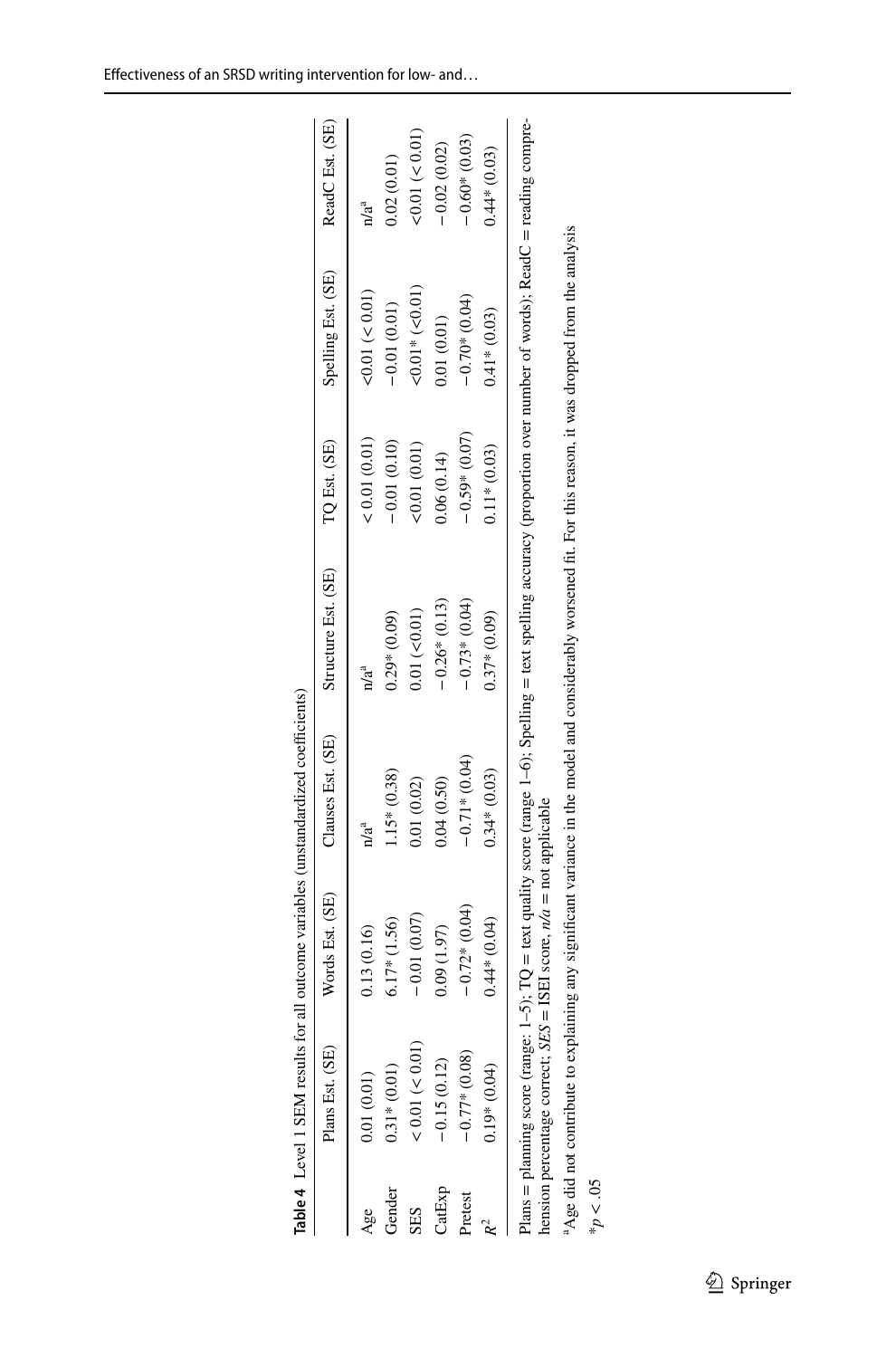| Clauses Est. (SE)<br>Words Est. (SE) | Structure Est. (SE)                                               | TQ Est. (SE)   | Spelling Est. (SE) | ReadC Est. (SE)   |
|--------------------------------------|-------------------------------------------------------------------|----------------|--------------------|-------------------|
| n/a <sup>a</sup>                     | $n/a^a$                                                           | (0.01(0.01))   | (0.01)(0.01)       | $n/a^a$           |
| $1.15*(0.38)$                        | $0.29*$ $(0.09)$                                                  | $-0.01(0.10)$  | $-0.01(0.01)$      | 0.02(0.01)        |
| 0.01 (0.02)                          | $0.01$ (< $0.01$ )                                                | (0.01, 0.01)   | $(0.01 * (-0.01))$ | $0.01$ ( $0.01$ ) |
| 0.04(0.50)                           | $-0.26*(0.13)$                                                    | 0.06(0.14)     | 0.01(0.01)         | $-0.02(0.02)$     |
| $(40.0 - 0.71)$                      | $-0.73*(0.04)$                                                    | $-0.59*(0.07)$ | $-0.70*(0.04)$     | $-0.60*(0.03)$    |
| $0.34*(0.03)$                        | $0.37*(0.09)$                                                     | $0.11*(0.03)$  | $0.41*(0.03)$      | $0.44*(0.03)$     |
| 0.09 (1.97)<br>0.13(0.16)            | $-0.72*(0.04)$<br>$-0.01(0.07)$<br>$0.44*(0.04)$<br>$6.17*(1.56)$ |                |                    |                   |

| l                                      |                                                                        |                    |
|----------------------------------------|------------------------------------------------------------------------|--------------------|
| ll                                     |                                                                        | こうしょう              |
|                                        |                                                                        |                    |
|                                        |                                                                        |                    |
|                                        |                                                                        | if Horthic resear  |
|                                        |                                                                        |                    |
| $\sigma = \text{TeV}$                  |                                                                        | a conciderabl      |
|                                        |                                                                        |                    |
| l                                      |                                                                        |                    |
|                                        | $\mathsf{I}$                                                           |                    |
| $i = t$                                |                                                                        |                    |
| ĺ<br>ļ<br>i<br>ï<br>î<br>$\frac{1}{2}$ | ֧֖֧֦֧֦֧֦֧֦֧֦֧֦֧֦֧֦֧֦֧֦֧֦֧֧֦֧֧֦֧֡֕֓֓֝֬֝֝֓֞֝֓֝֬<br>֧֧ׅ֖֜֜֘֩֘֩֩<br>ļ<br>į | ١<br>d             |
| יי שני בו<br>$\sim$                    | i<br>i                                                                 | hiifa to           |
| $s = p$                                | <b>MONOM</b><br>32,000                                                 | a did not contrin. |

<span id="page-18-0"></span>Age did not contribute to explaining any significant variance in the model and considerably worsened fit. For this reason, it was dropped from the analysis <sup>a</sup> Age did not contribute to explaining any significant variance in the model and considerably worsened fit. For this reason, it was dropped trom the analysis  $*_p$  < .05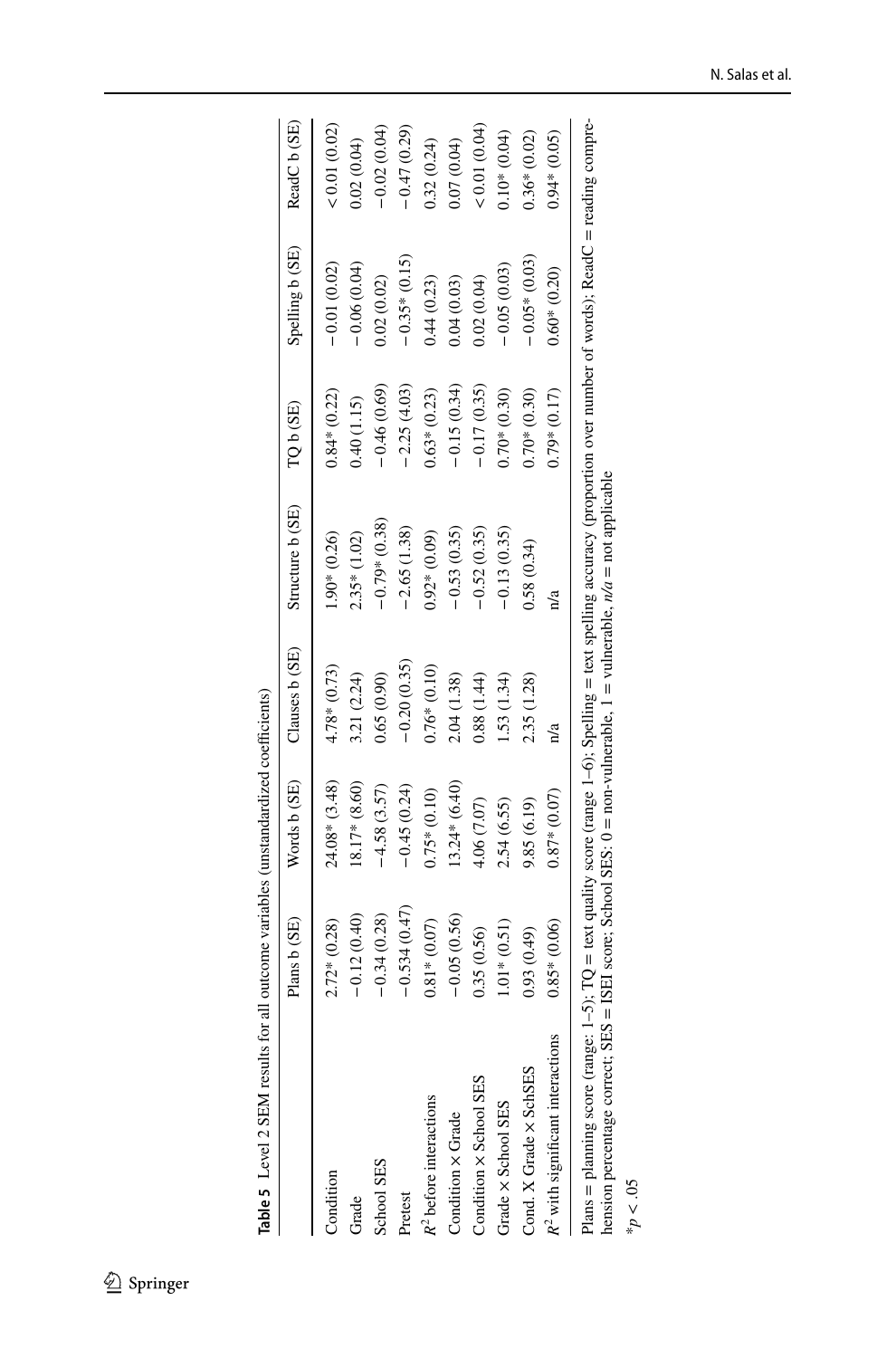| Table 5 Level 2 SEM results for all outcome variables (unstandardized coefficients)                                                                                    |                                 |                      |                |                  |                |                 |               |
|------------------------------------------------------------------------------------------------------------------------------------------------------------------------|---------------------------------|----------------------|----------------|------------------|----------------|-----------------|---------------|
|                                                                                                                                                                        | Plans b (SE)                    | Words b (SE)         | Clauses b (SE) | Structure b (SE) | TQ b (SE)      | Spelling b (SE) | ReadC b (SE)  |
| Condition                                                                                                                                                              | $2.72*(0.28)$                   | 24.08* (3.48)        | $4.78*(0.73)$  | $1.90* (0.26)$   | $0.84*(0.22)$  | $-0.01(0.02)$   | (0.01)(0.02)  |
| Grade                                                                                                                                                                  | $-0.12(0.40)$                   | $18.17* (8.60)$      | 3.21 (2.24)    | $2.35*(1.02)$    | 0.40(1.15)     | $-0.06(0.04)$   | 0.02(0.04)    |
| School SES                                                                                                                                                             | $-0.34(0.28)$                   | $-4.58(3.57)$        | 0.65(0.90)     | $-0.79*(0.38)$   | $-0.46(0.69)$  | 0.02(0.02)      | $-0.02(0.04)$ |
| Pretest                                                                                                                                                                | $-0.534(0.47)$                  | $-0.45(0.24)$        | $-0.20(0.35)$  | $-2.65(1.38)$    | $-2.25(4.03)$  | $-0.35*(0.15)$  | $-0.47(0.29)$ |
| $R^2$ before interactions                                                                                                                                              | $0.81*(0.07)$                   | $0.75*(0.10)$        | $0.76*(0.10)$  | $0.92*(0.09)$    | $0.63*(0.23)$  | 0.44(0.23)      | 0.32(0.24)    |
| Condition x Grade                                                                                                                                                      | $-0.05(0.56)$                   | $13.24*(6.40)$       | 2.04(1.38)     | $-0.53(0.35)$    | $-0.15(0.34)$  | 0.04(0.03)      | 0.07(0.04)    |
| Condition × School SES                                                                                                                                                 | 0.35(0.56)                      | 4.06 (7.07)          | 0.88(1.44)     | $-0.52(0.35)$    | $-0.17(0.35)$  | 0.02(0.04)      | < 0.01(0.04)  |
| Grade × School SES                                                                                                                                                     | $1.01*(0.51)$                   | 2.54 (6.55)          | 1.53(1.34)     | $-0.13(0.35)$    | $0.70*(0.30)$  | $-0.05(0.03)$   | $0.10*(0.04)$ |
| Cond. X Grade × SchSES                                                                                                                                                 | 0.93(0.49)                      | 9.85 (6.19)          | 2.35 (1.28)    | 0.58 (0.34)      | $0.70* (0.30)$ | $-0.05*(0.03)$  | $0.36*(0.02)$ |
| $R^2$ with significant interactions                                                                                                                                    | $0.85*(0.06)$                   | $0.87*(0.07)$        |                | n/a              | $0.79*(0.17)$  | $0.60*(0.20)$   | $0.94*(0.05)$ |
| Plans = planning score (range: 1–5); TQ = text quality score (range 1–6); Spelling = text spelling accuracy (proportion over number of words); ReadC = reading compre- | .<br>تا<br>$\ddot{\phantom{0}}$ | $\sim$ $\sim$ $\sim$ |                |                  |                |                 |               |

<span id="page-19-0"></span>hension percentage correct; SES = ISEI score; School SES: 0 = non-vulnerable, 1 = vulnerable,  $n/a$  = not applicable hension percentage correct; SES = ISEI score; School SES: 0 = non-vulnerable, 1 = vulnerable, *n/a* = not applicable  $^*p<.05$  N. Salas et al.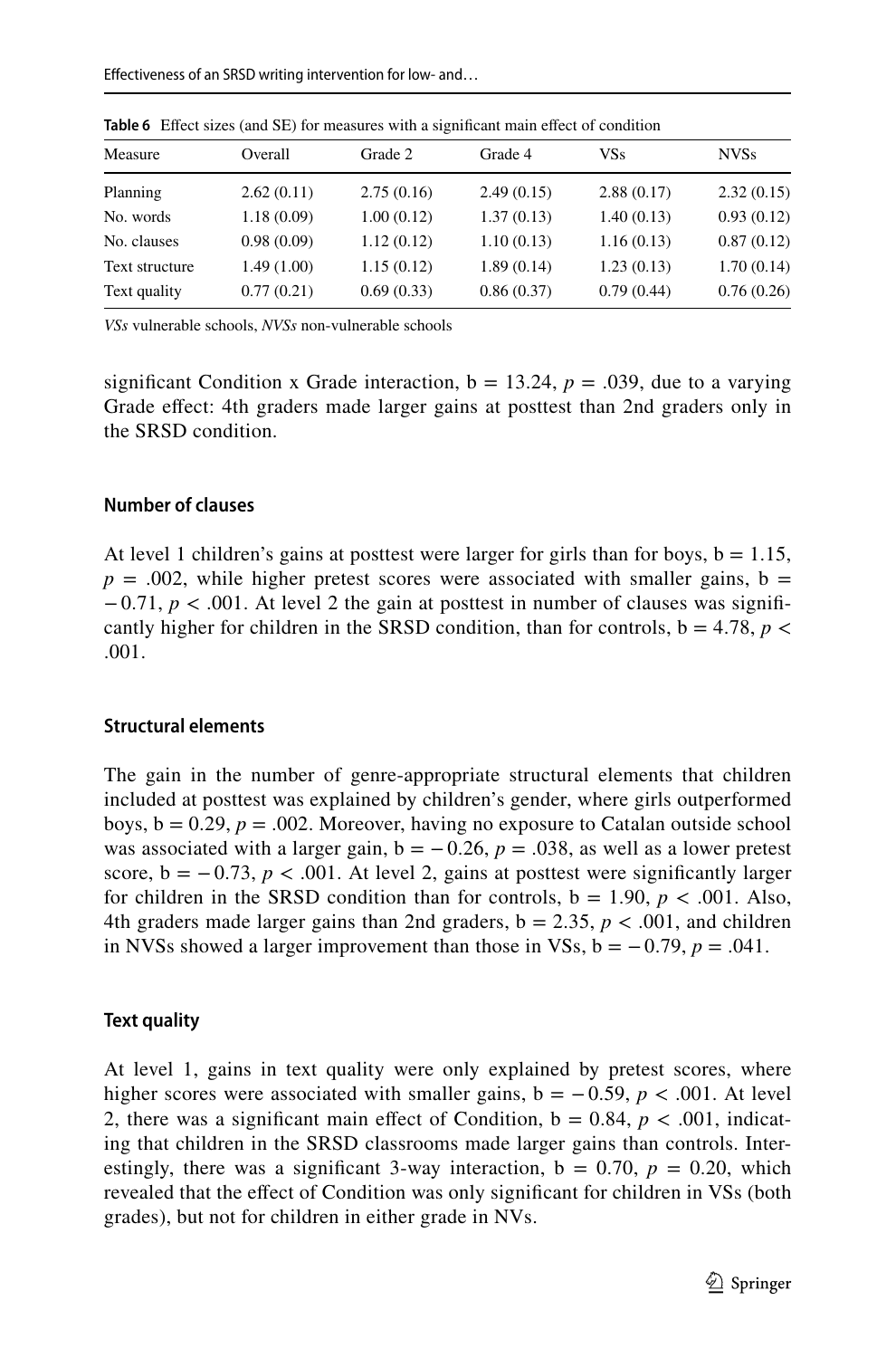| Measure        | Overall    | Grade 2    | Grade 4    | <b>VSs</b> | <b>NVSs</b> |
|----------------|------------|------------|------------|------------|-------------|
| Planning       | 2.62(0.11) | 2.75(0.16) | 2.49(0.15) | 2.88(0.17) | 2.32(0.15)  |
| No. words      | 1.18(0.09) | 1.00(0.12) | 1.37(0.13) | 1.40(0.13) | 0.93(0.12)  |
| No. clauses    | 0.98(0.09) | 1.12(0.12) | 1.10(0.13) | 1.16(0.13) | 0.87(0.12)  |
| Text structure | 1.49(1.00) | 1.15(0.12) | 1.89(0.14) | 1.23(0.13) | 1.70(0.14)  |
| Text quality   | 0.77(0.21) | 0.69(0.33) | 0.86(0.37) | 0.79(0.44) | 0.76(0.26)  |

<span id="page-20-0"></span>**Table 6** Efect sizes (and SE) for measures with a signifcant main efect of condition

*VSs* vulnerable schools, *NVSs* non-vulnerable schools

significant Condition x Grade interaction,  $b = 13.24$ ,  $p = .039$ , due to a varying Grade efect: 4th graders made larger gains at posttest than 2nd graders only in the SRSD condition.

### **Number of clauses**

At level 1 children's gains at posttest were larger for girls than for boys,  $b = 1.15$ ,  $p = .002$ , while higher pretest scores were associated with smaller gains, b = −0.71, *p* < .001. At level 2 the gain at posttest in number of clauses was signifcantly higher for children in the SRSD condition, than for controls,  $b = 4.78$ ,  $p <$ .001.

### **Structural elements**

The gain in the number of genre-appropriate structural elements that children included at posttest was explained by children's gender, where girls outperformed boys,  $b = 0.29$ ,  $p = .002$ . Moreover, having no exposure to Catalan outside school was associated with a larger gain,  $b = -0.26$ ,  $p = .038$ , as well as a lower pretest score,  $b = -0.73$ ,  $p < .001$ . At level 2, gains at posttest were significantly larger for children in the SRSD condition than for controls,  $b = 1.90$ ,  $p < .001$ . Also, 4th graders made larger gains than 2nd graders,  $b = 2.35$ ,  $p < .001$ , and children in NVSs showed a larger improvement than those in VSs,  $b = -0.79$ ,  $p = .041$ .

#### **Text quality**

At level 1, gains in text quality were only explained by pretest scores, where higher scores were associated with smaller gains,  $b = -0.59$ ,  $p < .001$ . At level 2, there was a significant main effect of Condition,  $b = 0.84$ ,  $p < .001$ , indicating that children in the SRSD classrooms made larger gains than controls. Interestingly, there was a significant 3-way interaction,  $b = 0.70$ ,  $p = 0.20$ , which revealed that the effect of Condition was only significant for children in VSs (both grades), but not for children in either grade in NVs.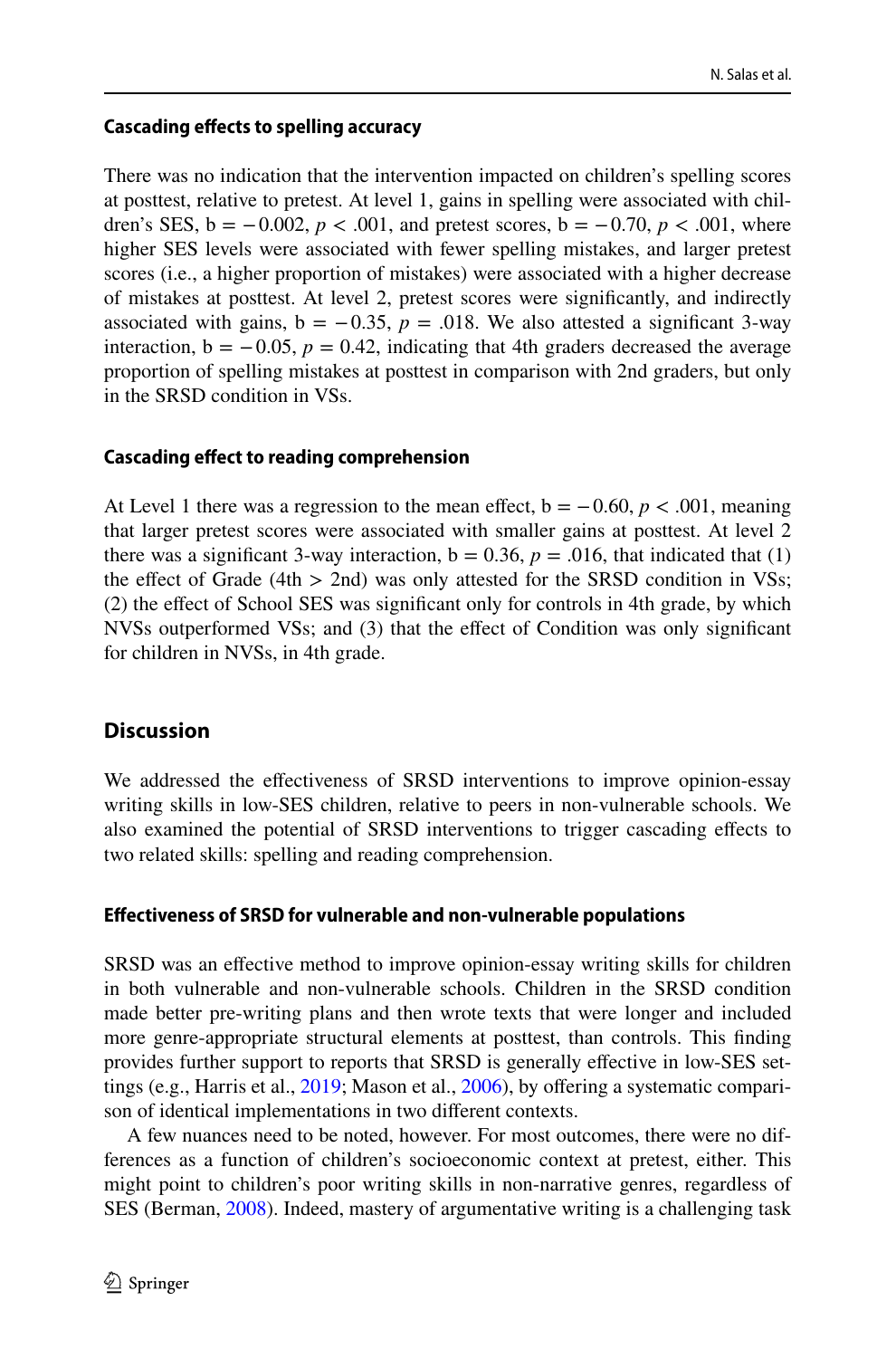### **Cascading efects to spelling accuracy**

There was no indication that the intervention impacted on children's spelling scores at posttest, relative to pretest. At level 1, gains in spelling were associated with children's SES,  $b = -0.002$ ,  $p < .001$ , and pretest scores,  $b = -0.70$ ,  $p < .001$ , where higher SES levels were associated with fewer spelling mistakes, and larger pretest scores (i.e., a higher proportion of mistakes) were associated with a higher decrease of mistakes at posttest. At level 2, pretest scores were signifcantly, and indirectly associated with gains,  $b = -0.35$ ,  $p = .018$ . We also attested a significant 3-way interaction,  $b = -0.05$ ,  $p = 0.42$ , indicating that 4th graders decreased the average proportion of spelling mistakes at posttest in comparison with 2nd graders, but only in the SRSD condition in VSs.

### **Cascading efect to reading comprehension**

At Level 1 there was a regression to the mean effect,  $b = -0.60, p < .001$ , meaning that larger pretest scores were associated with smaller gains at posttest. At level 2 there was a significant 3-way interaction,  $b = 0.36$ ,  $p = .016$ , that indicated that (1) the effect of Grade  $(4th > 2nd)$  was only attested for the SRSD condition in VSs; (2) the efect of School SES was signifcant only for controls in 4th grade, by which NVSs outperformed VSs; and (3) that the efect of Condition was only signifcant for children in NVSs, in 4th grade.

# **Discussion**

We addressed the efectiveness of SRSD interventions to improve opinion-essay writing skills in low-SES children, relative to peers in non-vulnerable schools. We also examined the potential of SRSD interventions to trigger cascading efects to two related skills: spelling and reading comprehension.

### **Efectiveness of SRSD for vulnerable and non‑vulnerable populations**

SRSD was an efective method to improve opinion-essay writing skills for children in both vulnerable and non-vulnerable schools. Children in the SRSD condition made better pre-writing plans and then wrote texts that were longer and included more genre-appropriate structural elements at posttest, than controls. This fnding provides further support to reports that SRSD is generally efective in low-SES settings (e.g., Harris et al., [2019](#page-26-7); Mason et al., [2006](#page-26-2)), by ofering a systematic comparison of identical implementations in two diferent contexts.

A few nuances need to be noted, however. For most outcomes, there were no differences as a function of children's socioeconomic context at pretest, either. This might point to children's poor writing skills in non-narrative genres, regardless of SES (Berman, [2008\)](#page-24-12). Indeed, mastery of argumentative writing is a challenging task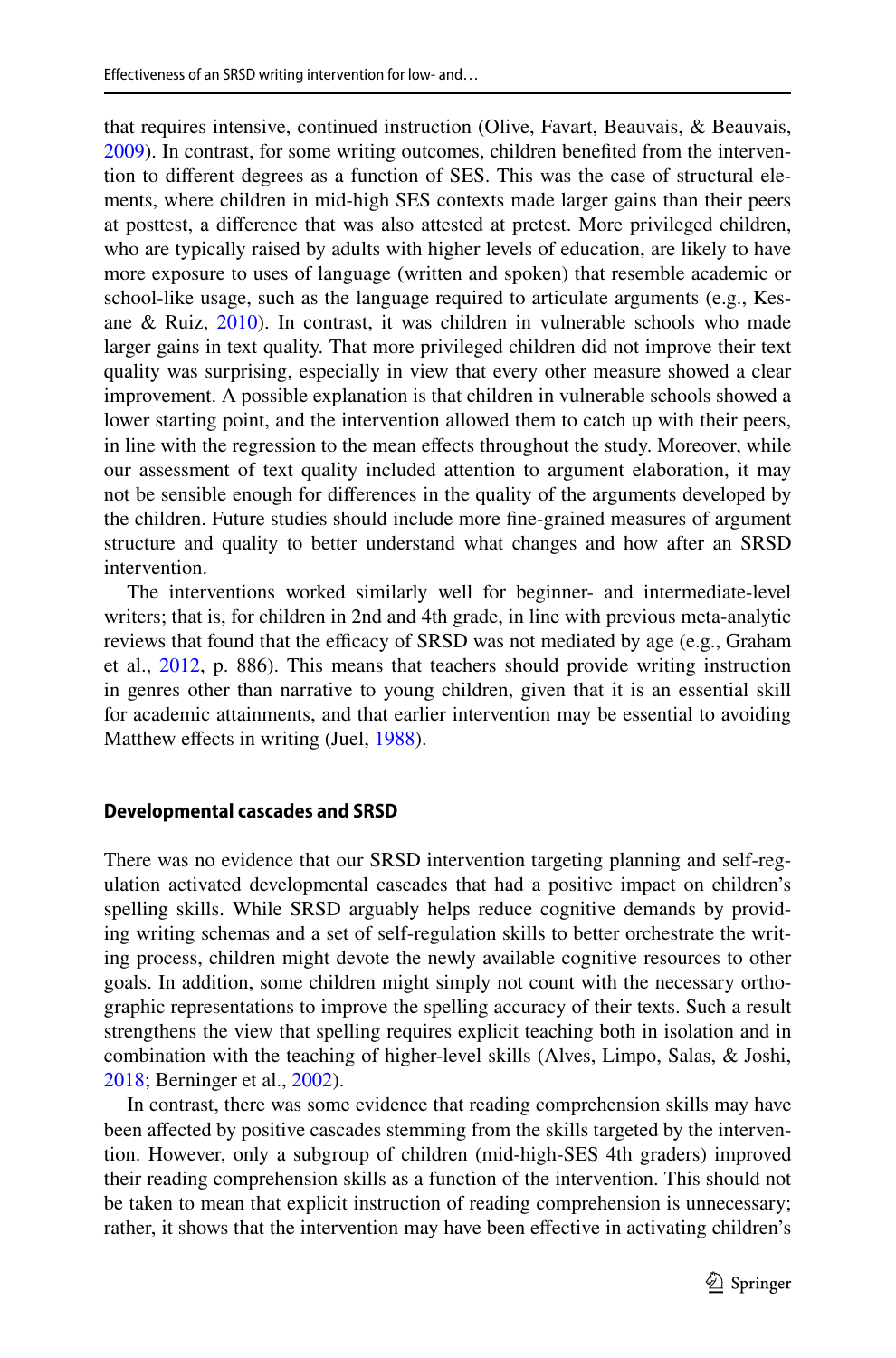that requires intensive, continued instruction (Olive, Favart, Beauvais, & Beauvais, [2009](#page-26-19)). In contrast, for some writing outcomes, children benefted from the intervention to diferent degrees as a function of SES. This was the case of structural elements, where children in mid-high SES contexts made larger gains than their peers at posttest, a diference that was also attested at pretest. More privileged children, who are typically raised by adults with higher levels of education, are likely to have more exposure to uses of language (written and spoken) that resemble academic or school-like usage, such as the language required to articulate arguments (e.g., Kesane & Ruiz, [2010](#page-26-20)). In contrast, it was children in vulnerable schools who made larger gains in text quality. That more privileged children did not improve their text quality was surprising, especially in view that every other measure showed a clear improvement. A possible explanation is that children in vulnerable schools showed a lower starting point, and the intervention allowed them to catch up with their peers, in line with the regression to the mean effects throughout the study. Moreover, while our assessment of text quality included attention to argument elaboration, it may not be sensible enough for diferences in the quality of the arguments developed by the children. Future studies should include more fne-grained measures of argument structure and quality to better understand what changes and how after an SRSD intervention.

The interventions worked similarly well for beginner- and intermediate-level writers; that is, for children in 2nd and 4th grade, in line with previous meta-analytic reviews that found that the efficacy of SRSD was not mediated by age (e.g., Graham et al., [2012](#page-25-4), p. 886). This means that teachers should provide writing instruction in genres other than narrative to young children, given that it is an essential skill for academic attainments, and that earlier intervention may be essential to avoiding Matthew effects in writing (Juel, [1988\)](#page-26-3).

### **Developmental cascades and SRSD**

There was no evidence that our SRSD intervention targeting planning and self-regulation activated developmental cascades that had a positive impact on children's spelling skills. While SRSD arguably helps reduce cognitive demands by providing writing schemas and a set of self-regulation skills to better orchestrate the writing process, children might devote the newly available cognitive resources to other goals. In addition, some children might simply not count with the necessary orthographic representations to improve the spelling accuracy of their texts. Such a result strengthens the view that spelling requires explicit teaching both in isolation and in combination with the teaching of higher-level skills (Alves, Limpo, Salas, & Joshi, [2018](#page-24-13); Berninger et al., [2002](#page-24-2)).

In contrast, there was some evidence that reading comprehension skills may have been afected by positive cascades stemming from the skills targeted by the intervention. However, only a subgroup of children (mid-high-SES 4th graders) improved their reading comprehension skills as a function of the intervention. This should not be taken to mean that explicit instruction of reading comprehension is unnecessary; rather, it shows that the intervention may have been efective in activating children's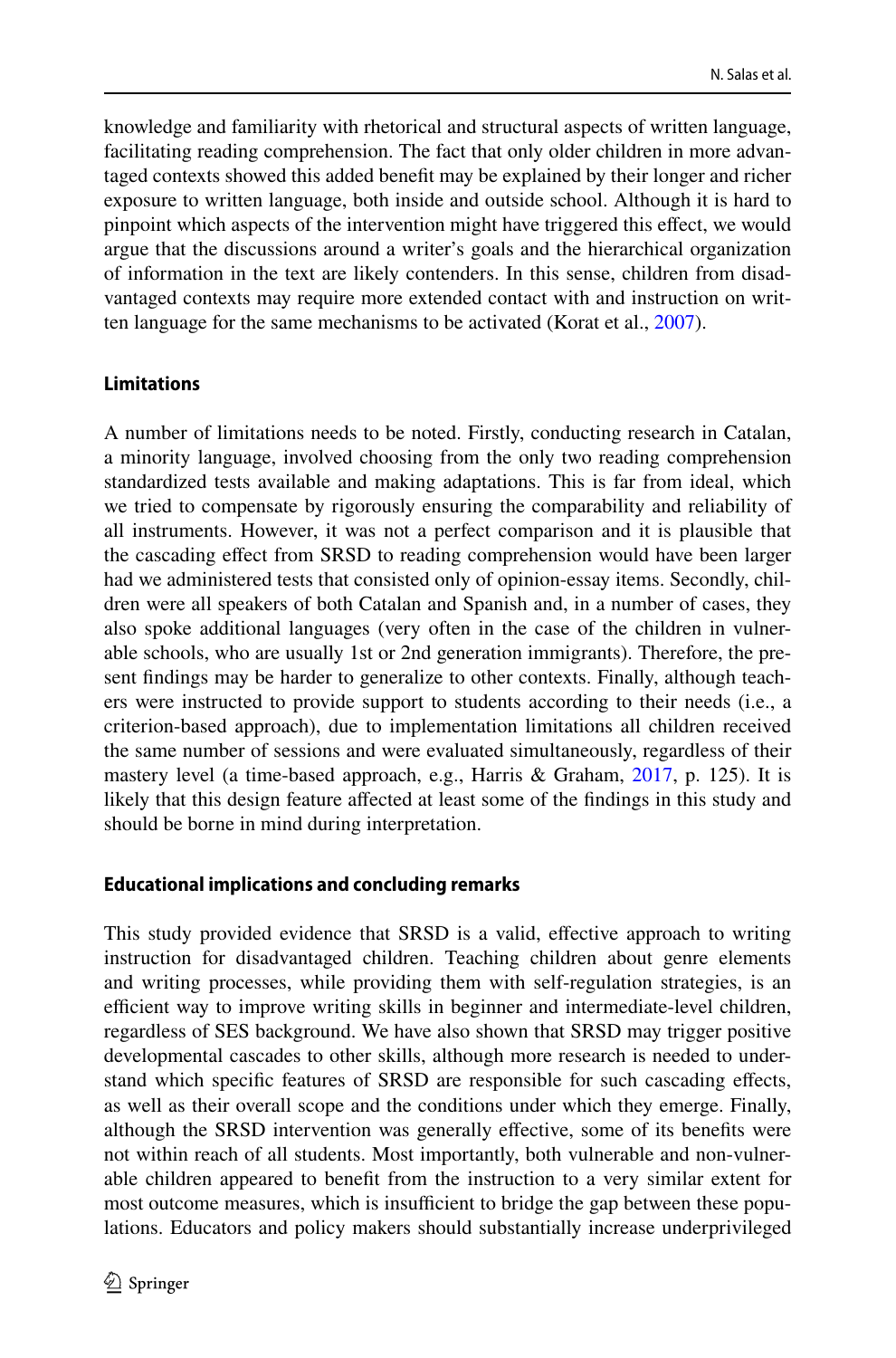knowledge and familiarity with rhetorical and structural aspects of written language, facilitating reading comprehension. The fact that only older children in more advantaged contexts showed this added beneft may be explained by their longer and richer exposure to written language, both inside and outside school. Although it is hard to pinpoint which aspects of the intervention might have triggered this efect, we would argue that the discussions around a writer's goals and the hierarchical organization of information in the text are likely contenders. In this sense, children from disadvantaged contexts may require more extended contact with and instruction on written language for the same mechanisms to be activated (Korat et al., [2007](#page-26-13)).

# **Limitations**

A number of limitations needs to be noted. Firstly, conducting research in Catalan, a minority language, involved choosing from the only two reading comprehension standardized tests available and making adaptations. This is far from ideal, which we tried to compensate by rigorously ensuring the comparability and reliability of all instruments. However, it was not a perfect comparison and it is plausible that the cascading efect from SRSD to reading comprehension would have been larger had we administered tests that consisted only of opinion-essay items. Secondly, children were all speakers of both Catalan and Spanish and, in a number of cases, they also spoke additional languages (very often in the case of the children in vulnerable schools, who are usually 1st or 2nd generation immigrants). Therefore, the present fndings may be harder to generalize to other contexts. Finally, although teachers were instructed to provide support to students according to their needs (i.e., a criterion-based approach), due to implementation limitations all children received the same number of sessions and were evaluated simultaneously, regardless of their mastery level (a time-based approach, e.g., Harris & Graham, [2017](#page-25-20), p. 125). It is likely that this design feature afected at least some of the fndings in this study and should be borne in mind during interpretation.

# **Educational implications and concluding remarks**

This study provided evidence that SRSD is a valid, efective approach to writing instruction for disadvantaged children. Teaching children about genre elements and writing processes, while providing them with self-regulation strategies, is an efficient way to improve writing skills in beginner and intermediate-level children, regardless of SES background. We have also shown that SRSD may trigger positive developmental cascades to other skills, although more research is needed to understand which specifc features of SRSD are responsible for such cascading efects, as well as their overall scope and the conditions under which they emerge. Finally, although the SRSD intervention was generally effective, some of its benefits were not within reach of all students. Most importantly, both vulnerable and non-vulnerable children appeared to beneft from the instruction to a very similar extent for most outcome measures, which is insufficient to bridge the gap between these populations. Educators and policy makers should substantially increase underprivileged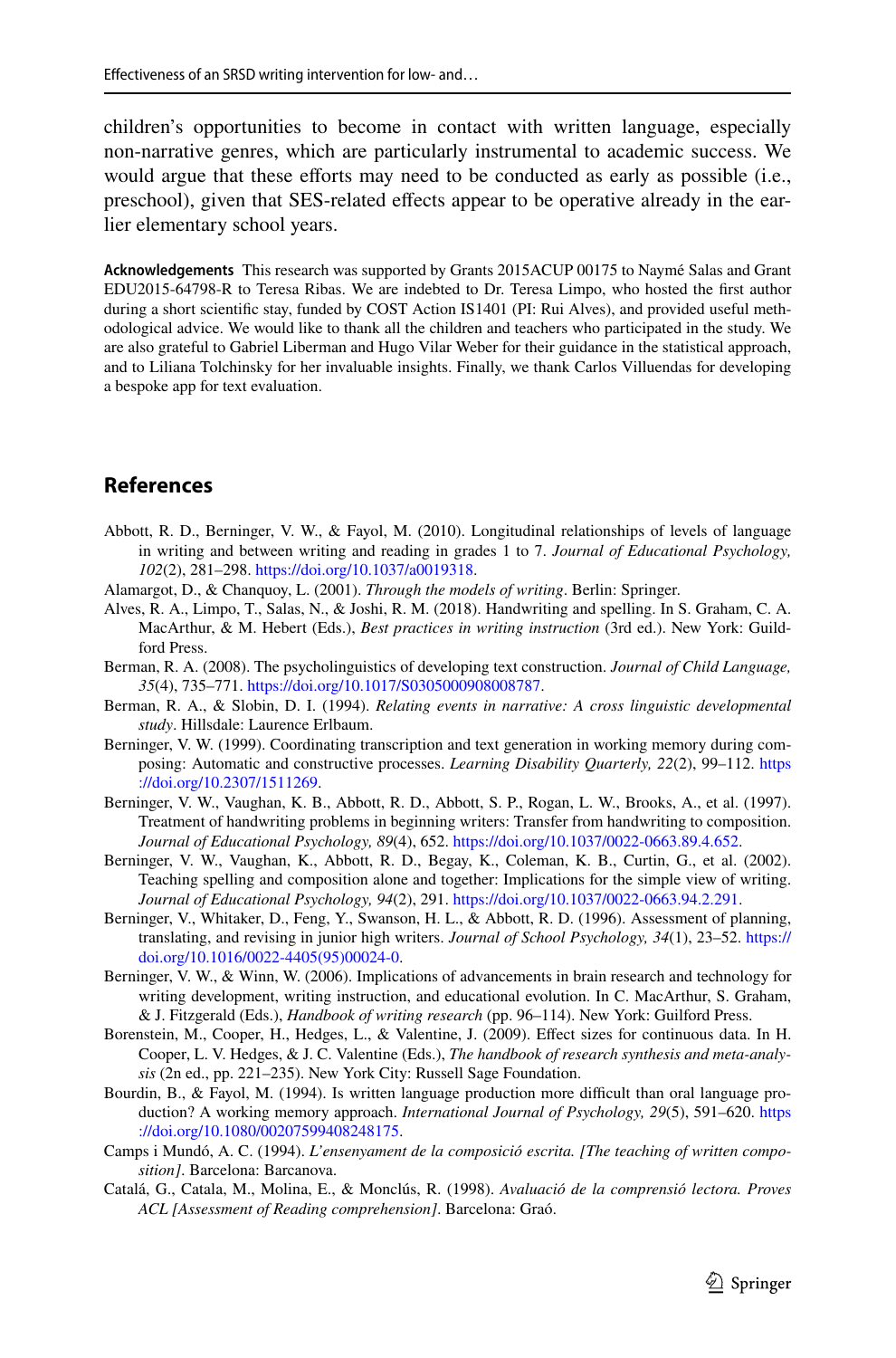children's opportunities to become in contact with written language, especially non-narrative genres, which are particularly instrumental to academic success. We would argue that these efforts may need to be conducted as early as possible (i.e., preschool), given that SES-related efects appear to be operative already in the earlier elementary school years.

**Acknowledgements** This research was supported by Grants 2015ACUP 00175 to Naymé Salas and Grant EDU2015-64798-R to Teresa Ribas. We are indebted to Dr. Teresa Limpo, who hosted the frst author during a short scientific stay, funded by COST Action IS1401 (PI: Rui Alves), and provided useful methodological advice. We would like to thank all the children and teachers who participated in the study. We are also grateful to Gabriel Liberman and Hugo Vilar Weber for their guidance in the statistical approach, and to Liliana Tolchinsky for her invaluable insights. Finally, we thank Carlos Villuendas for developing a bespoke app for text evaluation.

# **References**

- <span id="page-24-6"></span>Abbott, R. D., Berninger, V. W., & Fayol, M. (2010). Longitudinal relationships of levels of language in writing and between writing and reading in grades 1 to 7. *Journal of Educational Psychology, 102*(2), 281–298.<https://doi.org/10.1037/a0019318>.
- <span id="page-24-0"></span>Alamargot, D., & Chanquoy, L. (2001). *Through the models of writing*. Berlin: Springer.
- <span id="page-24-13"></span>Alves, R. A., Limpo, T., Salas, N., & Joshi, R. M. (2018). Handwriting and spelling. In S. Graham, C. A. MacArthur, & M. Hebert (Eds.), *Best practices in writing instruction* (3rd ed.). New York: Guildford Press.
- <span id="page-24-12"></span>Berman, R. A. (2008). The psycholinguistics of developing text construction. *Journal of Child Language, 35*(4), 735–771.<https://doi.org/10.1017/S0305000908008787>.
- <span id="page-24-9"></span>Berman, R. A., & Slobin, D. I. (1994). *Relating events in narrative: A cross linguistic developmental study*. Hillsdale: Laurence Erlbaum.
- <span id="page-24-3"></span>Berninger, V. W. (1999). Coordinating transcription and text generation in working memory during composing: Automatic and constructive processes. *Learning Disability Quarterly, 22*(2), 99–112. [https](https://doi.org/10.2307/1511269) [://doi.org/10.2307/1511269.](https://doi.org/10.2307/1511269)
- <span id="page-24-1"></span>Berninger, V. W., Vaughan, K. B., Abbott, R. D., Abbott, S. P., Rogan, L. W., Brooks, A., et al. (1997). Treatment of handwriting problems in beginning writers: Transfer from handwriting to composition. *Journal of Educational Psychology, 89*(4), 652.<https://doi.org/10.1037/0022-0663.89.4.652>.
- <span id="page-24-2"></span>Berninger, V. W., Vaughan, K., Abbott, R. D., Begay, K., Coleman, K. B., Curtin, G., et al. (2002). Teaching spelling and composition alone and together: Implications for the simple view of writing. *Journal of Educational Psychology, 94*(2), 291.<https://doi.org/10.1037/0022-0663.94.2.291>.
- <span id="page-24-7"></span>Berninger, V., Whitaker, D., Feng, Y., Swanson, H. L., & Abbott, R. D. (1996). Assessment of planning, translating, and revising in junior high writers. *Journal of School Psychology, 34*(1), 23–52. [https://](https://doi.org/10.1016/0022-4405(95)00024-0) [doi.org/10.1016/0022-4405\(95\)00024-0.](https://doi.org/10.1016/0022-4405(95)00024-0)
- <span id="page-24-4"></span>Berninger, V. W., & Winn, W. (2006). Implications of advancements in brain research and technology for writing development, writing instruction, and educational evolution. In C. MacArthur, S. Graham, & J. Fitzgerald (Eds.), *Handbook of writing research* (pp. 96–114). New York: Guilford Press.
- <span id="page-24-11"></span>Borenstein, M., Cooper, H., Hedges, L., & Valentine, J. (2009). Efect sizes for continuous data. In H. Cooper, L. V. Hedges, & J. C. Valentine (Eds.), *The handbook of research synthesis and meta-analysis* (2n ed., pp. 221–235). New York City: Russell Sage Foundation.
- <span id="page-24-5"></span>Bourdin, B., & Fayol, M. (1994). Is written language production more difficult than oral language production? A working memory approach. *International Journal of Psychology, 29*(5), 591–620. [https](https://doi.org/10.1080/00207599408248175) [://doi.org/10.1080/00207599408248175.](https://doi.org/10.1080/00207599408248175)
- <span id="page-24-8"></span>Camps i Mundó, A. C. (1994). *L'ensenyament de la composició escrita. [The teaching of written composition]*. Barcelona: Barcanova.
- <span id="page-24-10"></span>Catalá, G., Catala, M., Molina, E., & Monclús, R. (1998). *Avaluació de la comprensió lectora. Proves ACL [Assessment of Reading comprehension]*. Barcelona: Graó.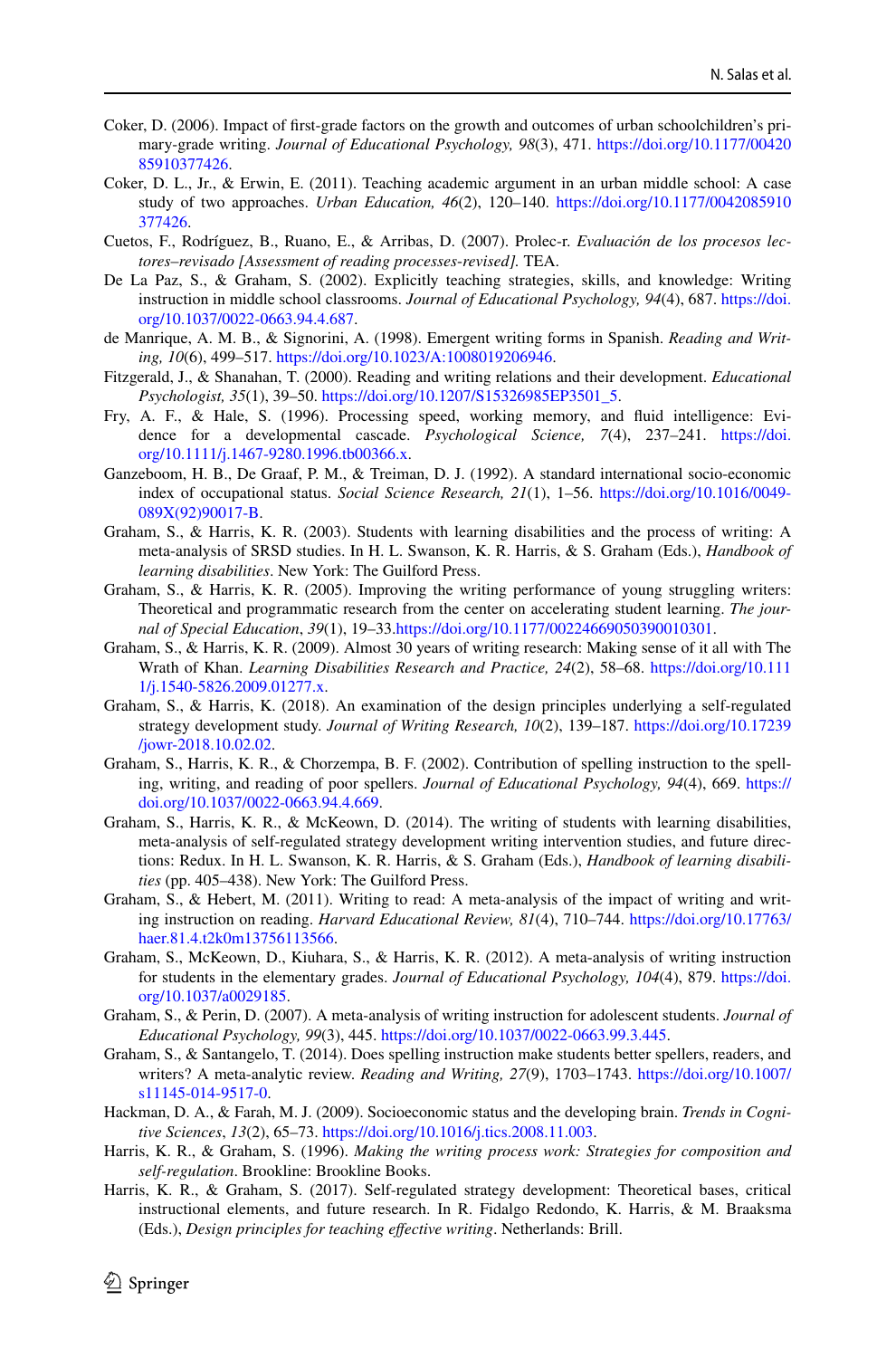- <span id="page-25-1"></span>Coker, D. (2006). Impact of frst-grade factors on the growth and outcomes of urban schoolchildren's primary-grade writing. *Journal of Educational Psychology, 98*(3), 471. [https://doi.org/10.1177/00420](https://doi.org/10.1177/0042085910377426) [85910377426](https://doi.org/10.1177/0042085910377426).
- <span id="page-25-10"></span>Coker, D. L., Jr., & Erwin, E. (2011). Teaching academic argument in an urban middle school: A case study of two approaches. *Urban Education, 46*(2), 120–140. [https://doi.org/10.1177/0042085910](https://doi.org/10.1177/0042085910377426) [377426](https://doi.org/10.1177/0042085910377426).
- <span id="page-25-19"></span>Cuetos, F., Rodríguez, B., Ruano, E., & Arribas, D. (2007). Prolec-r. *Evaluación de los procesos lectores*–*revisado [Assessment of reading processes*-*revised].* TEA.
- <span id="page-25-6"></span>De La Paz, S., & Graham, S. (2002). Explicitly teaching strategies, skills, and knowledge: Writing instruction in middle school classrooms. *Journal of Educational Psychology, 94*(4), 687. [https://doi.](https://doi.org/10.1037/0022-0663.94.4.687) [org/10.1037/0022-0663.94.4.687.](https://doi.org/10.1037/0022-0663.94.4.687)
- <span id="page-25-15"></span>de Manrique, A. M. B., & Signorini, A. (1998). Emergent writing forms in Spanish. *Reading and Writing, 10*(6), 499–517. <https://doi.org/10.1023/A:1008019206946>.
- <span id="page-25-16"></span>Fitzgerald, J., & Shanahan, T. (2000). Reading and writing relations and their development. *Educational Psychologist, 35*(1), 39–50. [https://doi.org/10.1207/S15326985EP3501\\_5](https://doi.org/10.1207/S15326985EP3501_5).
- <span id="page-25-11"></span>Fry, A. F., & Hale, S. (1996). Processing speed, working memory, and fuid intelligence: Evidence for a developmental cascade. *Psychological Science, 7*(4), 237–241. [https://doi.](https://doi.org/10.1111/j.1467-9280.1996.tb00366.x) [org/10.1111/j.1467-9280.1996.tb00366.x](https://doi.org/10.1111/j.1467-9280.1996.tb00366.x).
- <span id="page-25-18"></span>Ganzeboom, H. B., De Graaf, P. M., & Treiman, D. J. (1992). A standard international socio-economic index of occupational status. *Social Science Research, 21*(1), 1–56. [https://doi.org/10.1016/0049-](https://doi.org/10.1016/0049-089X(92)90017-B) [089X\(92\)90017-B](https://doi.org/10.1016/0049-089X(92)90017-B).
- <span id="page-25-7"></span>Graham, S., & Harris, K. R. (2003). Students with learning disabilities and the process of writing: A meta-analysis of SRSD studies. In H. L. Swanson, K. R. Harris, & S. Graham (Eds.), *Handbook of learning disabilities*. New York: The Guilford Press.
- <span id="page-25-8"></span>Graham, S., & Harris, K. R. (2005). Improving the writing performance of young struggling writers: Theoretical and programmatic research from the center on accelerating student learning. *The journal of Special Education*, *39*(1), 19–33[.https://doi.org/10.1177/00224669050390010301.](https://doi.org/10.1177/00224669050390010301)
- <span id="page-25-0"></span>Graham, S., & Harris, K. R. (2009). Almost 30 years of writing research: Making sense of it all with The Wrath of Khan. *Learning Disabilities Research and Practice, 24*(2), 58–68. [https://doi.org/10.111](https://doi.org/10.1111/j.1540-5826.2009.01277.x) [1/j.1540-5826.2009.01277.x](https://doi.org/10.1111/j.1540-5826.2009.01277.x).
- <span id="page-25-2"></span>Graham, S., & Harris, K. (2018). An examination of the design principles underlying a self-regulated strategy development study. *Journal of Writing Research, 10*(2), 139–187. [https://doi.org/10.17239](https://doi.org/10.17239/jowr-2018.10.02.02) [/jowr-2018.10.02.02](https://doi.org/10.17239/jowr-2018.10.02.02).
- <span id="page-25-13"></span>Graham, S., Harris, K. R., & Chorzempa, B. F. (2002). Contribution of spelling instruction to the spelling, writing, and reading of poor spellers. *Journal of Educational Psychology, 94*(4), 669. [https://](https://doi.org/10.1037/0022-0663.94.4.669) [doi.org/10.1037/0022-0663.94.4.669.](https://doi.org/10.1037/0022-0663.94.4.669)
- <span id="page-25-12"></span>Graham, S., Harris, K. R., & McKeown, D. (2014). The writing of students with learning disabilities, meta-analysis of self-regulated strategy development writing intervention studies, and future directions: Redux. In H. L. Swanson, K. R. Harris, & S. Graham (Eds.), *Handbook of learning disabilities* (pp. 405–438). New York: The Guilford Press.
- <span id="page-25-17"></span>Graham, S., & Hebert, M. (2011). Writing to read: A meta-analysis of the impact of writing and writing instruction on reading. *Harvard Educational Review, 81*(4), 710–744. [https://doi.org/10.17763/](https://doi.org/10.17763/haer.81.4.t2k0m13756113566) [haer.81.4.t2k0m13756113566.](https://doi.org/10.17763/haer.81.4.t2k0m13756113566)
- <span id="page-25-4"></span>Graham, S., McKeown, D., Kiuhara, S., & Harris, K. R. (2012). A meta-analysis of writing instruction for students in the elementary grades. *Journal of Educational Psychology, 104*(4), 879. [https://doi.](https://doi.org/10.1037/a0029185) [org/10.1037/a0029185.](https://doi.org/10.1037/a0029185)
- <span id="page-25-3"></span>Graham, S., & Perin, D. (2007). A meta-analysis of writing instruction for adolescent students. *Journal of Educational Psychology, 99*(3), 445.<https://doi.org/10.1037/0022-0663.99.3.445>.
- <span id="page-25-14"></span>Graham, S., & Santangelo, T. (2014). Does spelling instruction make students better spellers, readers, and writers? A meta-analytic review. *Reading and Writing, 27*(9), 1703–1743. [https://doi.org/10.1007/](https://doi.org/10.1007/s11145-014-9517-0) [s11145-014-9517-0](https://doi.org/10.1007/s11145-014-9517-0).
- <span id="page-25-9"></span>Hackman, D. A., & Farah, M. J. (2009). Socioeconomic status and the developing brain. *Trends in Cognitive Sciences*, *13*(2), 65–73.<https://doi.org/10.1016/j.tics.2008.11.003>.
- <span id="page-25-5"></span>Harris, K. R., & Graham, S. (1996). *Making the writing process work: Strategies for composition and self-regulation*. Brookline: Brookline Books.
- <span id="page-25-20"></span>Harris, K. R., & Graham, S. (2017). Self-regulated strategy development: Theoretical bases, critical instructional elements, and future research. In R. Fidalgo Redondo, K. Harris, & M. Braaksma (Eds.), *Design principles for teaching efective writing*. Netherlands: Brill.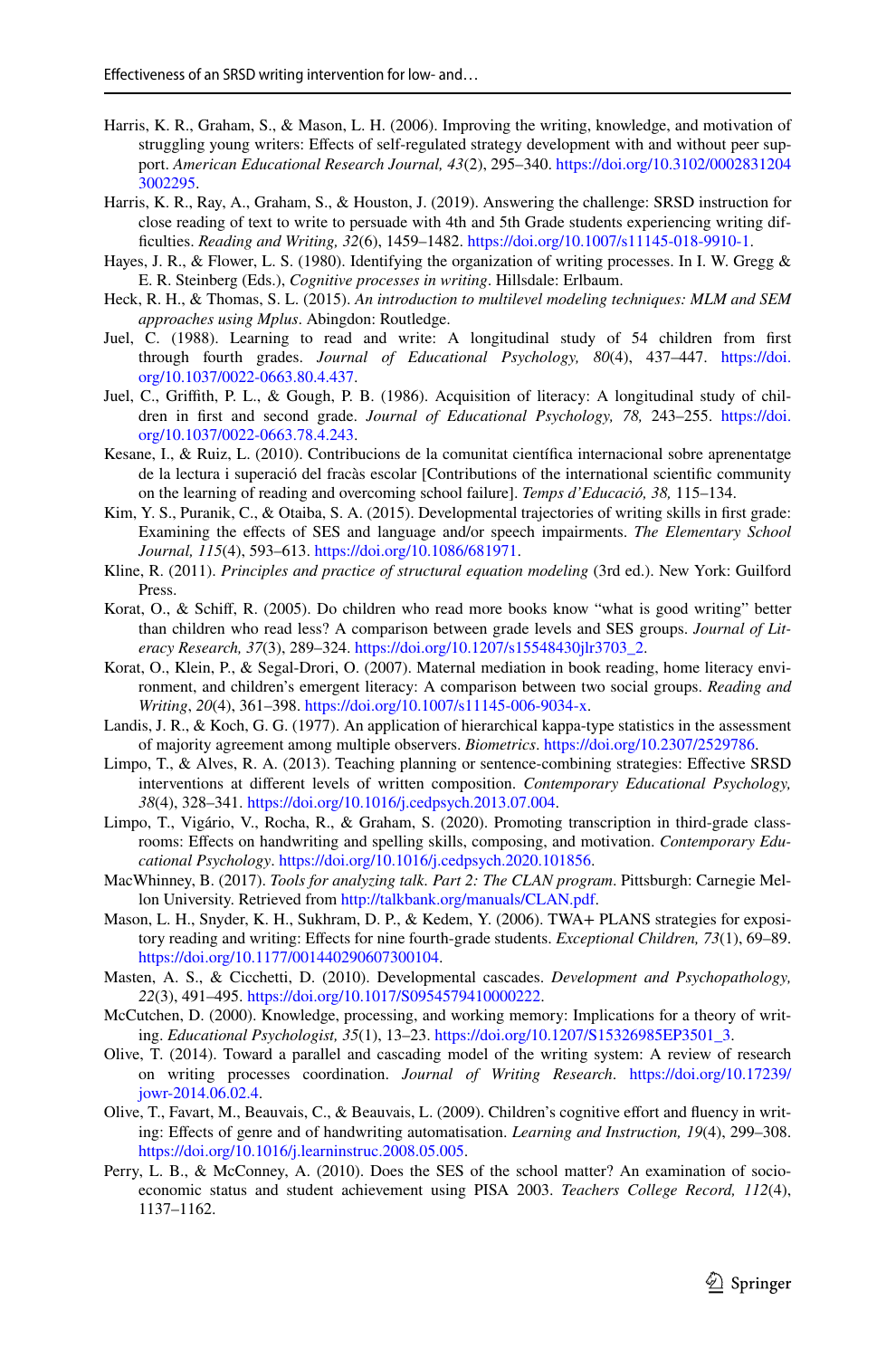- <span id="page-26-6"></span>Harris, K. R., Graham, S., & Mason, L. H. (2006). Improving the writing, knowledge, and motivation of struggling young writers: Efects of self-regulated strategy development with and without peer support. *American Educational Research Journal, 43*(2), 295–340. [https://doi.org/10.3102/0002831204](https://doi.org/10.3102/00028312043002295) [3002295](https://doi.org/10.3102/00028312043002295).
- <span id="page-26-7"></span>Harris, K. R., Ray, A., Graham, S., & Houston, J. (2019). Answering the challenge: SRSD instruction for close reading of text to write to persuade with 4th and 5th Grade students experiencing writing diffculties. *Reading and Writing, 32*(6), 1459–1482.<https://doi.org/10.1007/s11145-018-9910-1>.
- <span id="page-26-1"></span>Hayes, J. R., & Flower, L. S. (1980). Identifying the organization of writing processes. In I. W. Gregg & E. R. Steinberg (Eds.), *Cognitive processes in writing*. Hillsdale: Erlbaum.
- <span id="page-26-17"></span>Heck, R. H., & Thomas, S. L. (2015). *An introduction to multilevel modeling techniques: MLM and SEM approaches using Mplus*. Abingdon: Routledge.
- <span id="page-26-3"></span>Juel, C. (1988). Learning to read and write: A longitudinal study of 54 children from frst through fourth grades. *Journal of Educational Psychology, 80*(4), 437–447. [https://doi.](https://doi.org/10.1037/0022-0663.80.4.437) [org/10.1037/0022-0663.80.4.437.](https://doi.org/10.1037/0022-0663.80.4.437)
- <span id="page-26-10"></span>Juel, C., Grifth, P. L., & Gough, P. B. (1986). Acquisition of literacy: A longitudinal study of children in frst and second grade. *Journal of Educational Psychology, 78,* 243–255. [https://doi.](https://doi.org/10.1037/0022-0663.78.4.243) [org/10.1037/0022-0663.78.4.243.](https://doi.org/10.1037/0022-0663.78.4.243)
- <span id="page-26-20"></span>Kesane, I., & Ruiz, L. (2010). Contribucions de la comunitat científca internacional sobre aprenentatge de la lectura i superació del fracàs escolar [Contributions of the international scientifc community on the learning of reading and overcoming school failure]. *Temps d'Educació, 38,* 115–134.
- <span id="page-26-0"></span>Kim, Y. S., Puranik, C., & Otaiba, S. A. (2015). Developmental trajectories of writing skills in frst grade: Examining the efects of SES and language and/or speech impairments. *The Elementary School Journal, 115*(4), 593–613. [https://doi.org/10.1086/681971.](https://doi.org/10.1086/681971)
- <span id="page-26-18"></span>Kline, R. (2011). *Principles and practice of structural equation modeling* (3rd ed.). New York: Guilford Press.
- <span id="page-26-4"></span>Korat, O., & Schif, R. (2005). Do children who read more books know "what is good writing" better than children who read less? A comparison between grade levels and SES groups. *Journal of Literacy Research, 37*(3), 289–324. [https://doi.org/10.1207/s15548430jlr3703\\_2.](https://doi.org/10.1207/s15548430jlr3703_2)
- <span id="page-26-13"></span>Korat, O., Klein, P., & Segal-Drori, O. (2007). Maternal mediation in book reading, home literacy environment, and children's emergent literacy: A comparison between two social groups. *Reading and Writing*, *20*(4), 361–398. <https://doi.org/10.1007/s11145-006-9034-x>.
- <span id="page-26-14"></span>Landis, J. R., & Koch, G. G. (1977). An application of hierarchical kappa-type statistics in the assessment of majority agreement among multiple observers. *Biometrics*. <https://doi.org/10.2307/2529786>.
- <span id="page-26-16"></span>Limpo, T., & Alves, R. A. (2013). Teaching planning or sentence-combining strategies: Efective SRSD interventions at diferent levels of written composition. *Contemporary Educational Psychology, 38*(4), 328–341. [https://doi.org/10.1016/j.cedpsych.2013.07.004.](https://doi.org/10.1016/j.cedpsych.2013.07.004)
- <span id="page-26-9"></span>Limpo, T., Vigário, V., Rocha, R., & Graham, S. (2020). Promoting transcription in third-grade classrooms: Efects on handwriting and spelling skills, composing, and motivation. *Contemporary Educational Psychology*. <https://doi.org/10.1016/j.cedpsych.2020.101856>.
- <span id="page-26-15"></span>MacWhinney, B. (2017). *Tools for analyzing talk. Part 2: The CLAN program*. Pittsburgh: Carnegie Mellon University. Retrieved from<http://talkbank.org/manuals/CLAN.pdf>.
- <span id="page-26-2"></span>Mason, L. H., Snyder, K. H., Sukhram, D. P., & Kedem, Y. (2006). TWA+ PLANS strategies for expository reading and writing: Efects for nine fourth-grade students. *Exceptional Children, 73*(1), 69–89. <https://doi.org/10.1177/001440290607300104>.
- <span id="page-26-8"></span>Masten, A. S., & Cicchetti, D. (2010). Developmental cascades. *Development and Psychopathology, 22*(3), 491–495.<https://doi.org/10.1017/S0954579410000222>.
- <span id="page-26-11"></span>McCutchen, D. (2000). Knowledge, processing, and working memory: Implications for a theory of writing. *Educational Psychologist, 35*(1), 13–23. [https://doi.org/10.1207/S15326985EP3501\\_3.](https://doi.org/10.1207/S15326985EP3501_3)
- <span id="page-26-12"></span>Olive, T. (2014). Toward a parallel and cascading model of the writing system: A review of research on writing processes coordination. *Journal of Writing Research*. [https://doi.org/10.17239/](https://doi.org/10.17239/jowr-2014.06.02.4) [jowr-2014.06.02.4.](https://doi.org/10.17239/jowr-2014.06.02.4)
- <span id="page-26-19"></span>Olive, T., Favart, M., Beauvais, C., & Beauvais, L. (2009). Children's cognitive efort and fuency in writing: Efects of genre and of handwriting automatisation. *Learning and Instruction, 19*(4), 299–308. [https://doi.org/10.1016/j.learninstruc.2008.05.005.](https://doi.org/10.1016/j.learninstruc.2008.05.005)
- <span id="page-26-5"></span>Perry, L. B., & McConney, A. (2010). Does the SES of the school matter? An examination of socioeconomic status and student achievement using PISA 2003. *Teachers College Record, 112*(4), 1137–1162.